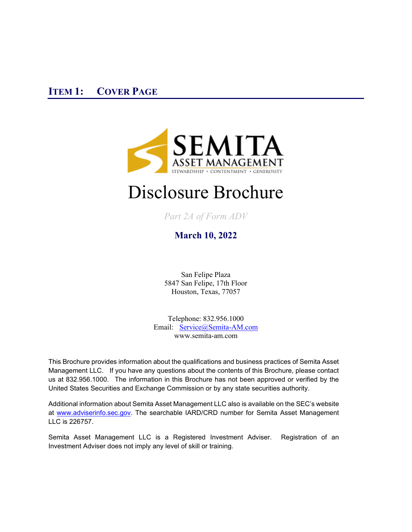<span id="page-0-0"></span>

# Disclosure Brochure

*Part 2A of Form ADV* 

**March 10, 2022**

San Felipe Plaza 5847 San Felipe, 17th Floor Houston, Texas, 77057

Telephone: 832.956.1000 Email: [Service@Semita-AM.com](mailto:info@Semita-AM.com)  [www.semita-am.com](http://www.semita-am.com/)

This Brochure provides information about the qualifications and business practices of Semita Asset Management LLC. If you have any questions about the contents of this Brochure, please contact us at 832.956.1000. The information in this Brochure has not been approved or verified by the United States Securities and Exchange Commission or by any state securities authority.

Additional information about Semita Asset Management LLC also is available on the SEC's website at [www.adviserinfo.sec.gov.](http://www.adviserinfo.sec.gov/) The searchable IARD/CRD number for Semita Asset Management LLC is 226757.

Semita Asset Management LLC is a Registered Investment Adviser. Registration of an Investment Adviser does not imply any level of skill or training.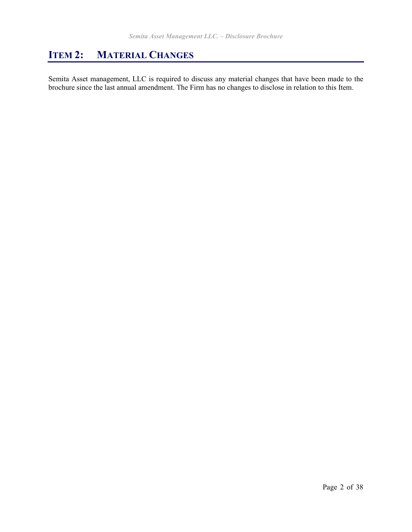# <span id="page-1-0"></span>**ITEM 2: MATERIAL CHANGES**

Semita Asset management, LLC is required to discuss any material changes that have been made to the brochure since the last annual amendment. The Firm has no changes to disclose in relation to this Item.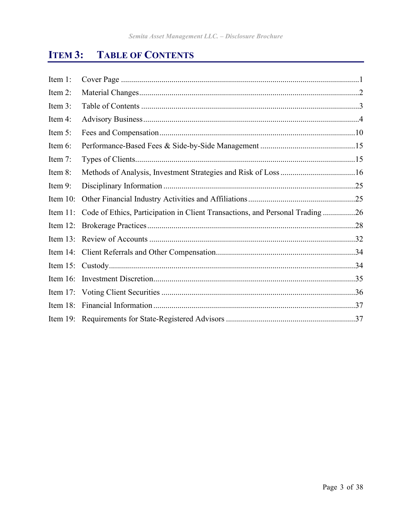#### <span id="page-2-0"></span>ITEM 3: **TABLE OF CONTENTS**

| Item 1:     |                                                                                       |
|-------------|---------------------------------------------------------------------------------------|
| Item 2:     |                                                                                       |
| Item 3:     |                                                                                       |
| Item 4:     |                                                                                       |
| Item 5:     |                                                                                       |
| Item 6:     |                                                                                       |
| Item 7:     |                                                                                       |
| Item 8:     |                                                                                       |
| Item 9:     |                                                                                       |
| Item $10$ : |                                                                                       |
|             | Item 11: Code of Ethics, Participation in Client Transactions, and Personal Trading26 |
|             |                                                                                       |
|             |                                                                                       |
|             |                                                                                       |
|             |                                                                                       |
|             |                                                                                       |
|             |                                                                                       |
| Item $18$ : |                                                                                       |
|             |                                                                                       |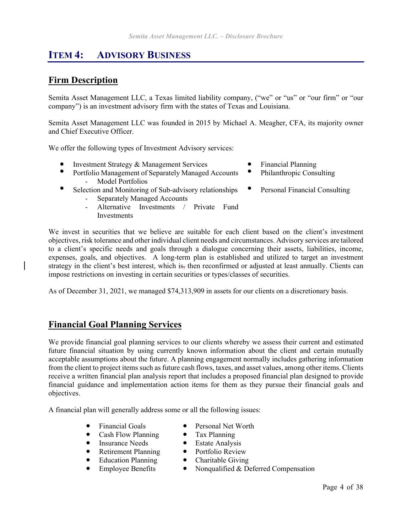# <span id="page-3-0"></span>**ITEM 4: ADVISORY BUSINESS**

### **Firm Description**

Semita Asset Management LLC, a Texas limited liability company, ("we" or "us" or "our firm" or "our company") is an investment advisory firm with the states of Texas and Louisiana.

Semita Asset Management LLC was founded in 2015 by Michael A. Meagher, CFA, its majority owner and Chief Executive Officer.

We offer the following types of Investment Advisory services:

- Investment Strategy & Management Services Financial Planning
- Portfolio Management of Separately Managed Accounts Model Portfolios
- Selection and Monitoring of Sub-advisory relationships
	- Separately Managed Accounts
	- Alternative Investments / Private Fund **Investments**
- 
- Philanthropic Consulting
- Personal Financial Consulting

We invest in securities that we believe are suitable for each client based on the client's investment objectives, risk tolerance and other individual client needs and circumstances. Advisory services are tailored to a client's specific needs and goals through a dialogue concerning their assets, liabilities, income, expenses, goals, and objectives. A long-term plan is established and utilized to target an investment strategy in the client's best interest, which is, then reconfirmed or adjusted at least annually. Clients can impose restrictions on investing in certain securities or types/classes of securities.

As of December 31, 2021, we managed \$74,313,909 in assets for our clients on a discretionary basis.

# **Financial Goal Planning Services**

We provide financial goal planning services to our clients whereby we assess their current and estimated future financial situation by using currently known information about the client and certain mutually acceptable assumptions about the future. A planning engagement normally includes gathering information from the client to project items such as future cash flows, taxes, and asset values, among other items. Clients receive a written financial plan analysis report that includes a proposed financial plan designed to provide financial guidance and implementation action items for them as they pursue their financial goals and objectives.

A financial plan will generally address some or all the following issues:

- Financial Goals Personal Net Worth
- Cash Flow Planning Tax Planning
- **Insurance Needs**
- Retirement Planning Portfolio Review
- $\bullet$  Education Planning  $\bullet$ 
	- Employee Benefits Nonqualified & Deferred Compensation
		- Page 4 of 38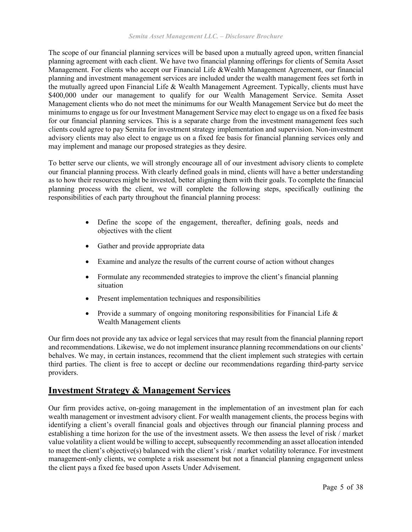The scope of our financial planning services will be based upon a mutually agreed upon, written financial planning agreement with each client. We have two financial planning offerings for clients of Semita Asset Management. For clients who accept our Financial Life &Wealth Management Agreement, our financial planning and investment management services are included under the wealth management fees set forth in the mutually agreed upon Financial Life & Wealth Management Agreement. Typically, clients must have \$400,000 under our management to qualify for our Wealth Management Service. Semita Asset Management clients who do not meet the minimums for our Wealth Management Service but do meet the minimums to engage us for our Investment Management Service may elect to engage us on a fixed fee basis for our financial planning services. This is a separate charge from the investment management fees such clients could agree to pay Semita for investment strategy implementation and supervision. Non-investment advisory clients may also elect to engage us on a fixed fee basis for financial planning services only and may implement and manage our proposed strategies as they desire.

To better serve our clients, we will strongly encourage all of our investment advisory clients to complete our financial planning process. With clearly defined goals in mind, clients will have a better understanding as to how their resources might be invested, better aligning them with their goals. To complete the financial planning process with the client, we will complete the following steps, specifically outlining the responsibilities of each party throughout the financial planning process:

- Define the scope of the engagement, thereafter, defining goals, needs and objectives with the client
- Gather and provide appropriate data
- Examine and analyze the results of the current course of action without changes
- Formulate any recommended strategies to improve the client's financial planning situation
- Present implementation techniques and responsibilities
- Provide a summary of ongoing monitoring responsibilities for Financial Life & Wealth Management clients

Our firm does not provide any tax advice or legal services that may result from the financial planning report and recommendations. Likewise, we do not implement insurance planning recommendations on our clients' behalves. We may, in certain instances, recommend that the client implement such strategies with certain third parties. The client is free to accept or decline our recommendations regarding third-party service providers.

#### **Investment Strategy & Management Services**

Our firm provides active, on-going management in the implementation of an investment plan for each wealth management or investment advisory client. For wealth management clients, the process begins with identifying a client's overall financial goals and objectives through our financial planning process and establishing a time horizon for the use of the investment assets. We then assess the level of risk / market value volatility a client would be willing to accept, subsequently recommending an asset allocation intended to meet the client's objective(s) balanced with the client's risk / market volatility tolerance. For investment management-only clients, we complete a risk assessment but not a financial planning engagement unless the client pays a fixed fee based upon Assets Under Advisement.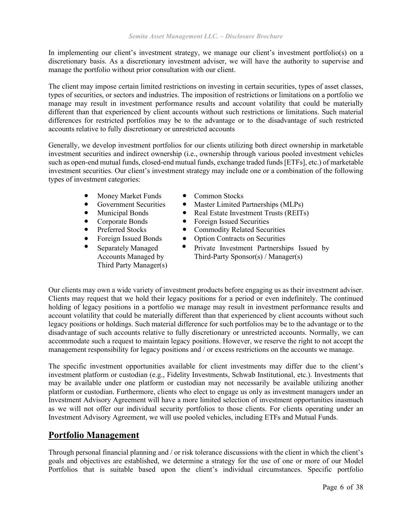In implementing our client's investment strategy, we manage our client's investment portfolio(s) on a discretionary basis. As a discretionary investment adviser, we will have the authority to supervise and manage the portfolio without prior consultation with our client.

The client may impose certain limited restrictions on investing in certain securities, types of asset classes, types of securities, or sectors and industries. The imposition of restrictions or limitations on a portfolio we manage may result in investment performance results and account volatility that could be materially different than that experienced by client accounts without such restrictions or limitations. Such material differences for restricted portfolios may be to the advantage or to the disadvantage of such restricted accounts relative to fully discretionary or unrestricted accounts

Generally, we develop investment portfolios for our clients utilizing both direct ownership in marketable investment securities and indirect ownership (i.e., ownership through various pooled investment vehicles such as open-end mutual funds, closed-end mutual funds, exchange traded funds [ETFs], etc.) of marketable investment securities. Our client's investment strategy may include one or a combination of the following types of investment categories:

- Money Market Funds Common Stocks
- 
- 
- 
- 
- 
- Separately Managed Accounts Managed by Third Party Manager(s)
- 
- Government Securities Master Limited Partnerships (MLPs)<br>• Municipal Bonds Real Estate Investment Trusts (REITs
	- Municipal Bonds Real Estate Investment Trusts (REITs)
- Corporate Bonds Foreign Issued Securities
- Preferred Stocks Commodity Related Securities
- Foreign Issued Bonds Option Contracts on Securities
	- Private Investment Partnerships Issued by Third-Party Sponsor(s) / Manager(s)

Our clients may own a wide variety of investment products before engaging us as their investment adviser. Clients may request that we hold their legacy positions for a period or even indefinitely. The continued holding of legacy positions in a portfolio we manage may result in investment performance results and account volatility that could be materially different than that experienced by client accounts without such legacy positions or holdings. Such material difference for such portfolios may be to the advantage or to the disadvantage of such accounts relative to fully discretionary or unrestricted accounts. Normally, we can accommodate such a request to maintain legacy positions. However, we reserve the right to not accept the management responsibility for legacy positions and / or excess restrictions on the accounts we manage.

The specific investment opportunities available for client investments may differ due to the client's investment platform or custodian (e.g., Fidelity Investments, Schwab Institutional, etc.). Investments that may be available under one platform or custodian may not necessarily be available utilizing another platform or custodian. Furthermore, clients who elect to engage us only as investment managers under an Investment Advisory Agreement will have a more limited selection of investment opportunities inasmuch as we will not offer our individual security portfolios to those clients. For clients operating under an Investment Advisory Agreement, we will use pooled vehicles, including ETFs and Mutual Funds.

# **Portfolio Management**

Through personal financial planning and / or risk tolerance discussions with the client in which the client's goals and objectives are established, we determine a strategy for the use of one or more of our Model Portfolios that is suitable based upon the client's individual circumstances. Specific portfolio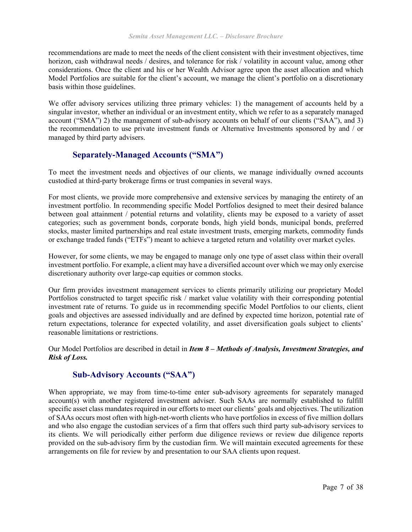recommendations are made to meet the needs of the client consistent with their investment objectives, time horizon, cash withdrawal needs / desires, and tolerance for risk / volatility in account value, among other considerations. Once the client and his or her Wealth Advisor agree upon the asset allocation and which Model Portfolios are suitable for the client's account, we manage the client's portfolio on a discretionary basis within those guidelines.

We offer advisory services utilizing three primary vehicles: 1) the management of accounts held by a singular investor, whether an individual or an investment entity, which we refer to as a separately managed account ("SMA") 2) the management of sub-advisory accounts on behalf of our clients ("SAA"), and 3) the recommendation to use private investment funds or Alternative Investments sponsored by and / or managed by third party advisers.

#### **Separately**‐**Managed Accounts ("SMA")**

To meet the investment needs and objectives of our clients, we manage individually owned accounts custodied at third-party brokerage firms or trust companies in several ways.

For most clients, we provide more comprehensive and extensive services by managing the entirety of an investment portfolio. In recommending specific Model Portfolios designed to meet their desired balance between goal attainment / potential returns and volatility, clients may be exposed to a variety of asset categories; such as government bonds, corporate bonds, high yield bonds, municipal bonds, preferred stocks, master limited partnerships and real estate investment trusts, emerging markets, commodity funds or exchange traded funds ("ETFs") meant to achieve a targeted return and volatility over market cycles.

However, for some clients, we may be engaged to manage only one type of asset class within their overall investment portfolio. For example, a client may have a diversified account over which we may only exercise discretionary authority over large-cap equities or common stocks.

Our firm provides investment management services to clients primarily utilizing our proprietary Model Portfolios constructed to target specific risk / market value volatility with their corresponding potential investment rate of returns. To guide us in recommending specific Model Portfolios to our clients, client goals and objectives are assessed individually and are defined by expected time horizon, potential rate of return expectations, tolerance for expected volatility, and asset diversification goals subject to clients' reasonable limitations or restrictions.

Our Model Portfolios are described in detail in *Item 8 – Methods of Analysis, Investment Strategies, and Risk of Loss.*

#### **Sub-Advisory Accounts ("SAA")**

When appropriate, we may from time-to-time enter sub-advisory agreements for separately managed account(s) with another registered investment adviser. Such SAAs are normally established to fulfill specific asset class mandates required in our efforts to meet our clients' goals and objectives. The utilization of SAAs occurs most often with high-net-worth clients who have portfolios in excess of five million dollars and who also engage the custodian services of a firm that offers such third party sub-advisory services to its clients. We will periodically either perform due diligence reviews or review due diligence reports provided on the sub-advisory firm by the custodian firm. We will maintain executed agreements for these arrangements on file for review by and presentation to our SAA clients upon request.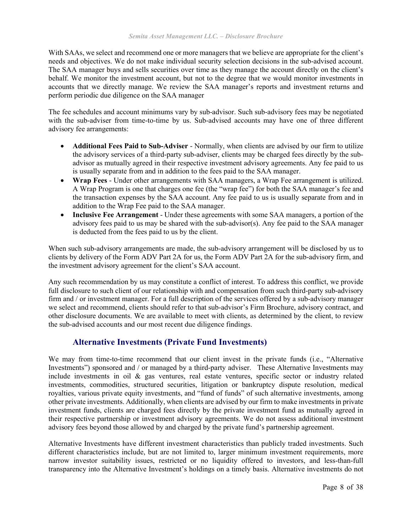With SAAs, we select and recommend one or more managers that we believe are appropriate for the client's needs and objectives. We do not make individual security selection decisions in the sub-advised account. The SAA manager buys and sells securities over time as they manage the account directly on the client's behalf. We monitor the investment account, but not to the degree that we would monitor investments in accounts that we directly manage. We review the SAA manager's reports and investment returns and perform periodic due diligence on the SAA manager

The fee schedules and account minimums vary by sub-advisor. Such sub-advisory fees may be negotiated with the sub-adviser from time-to-time by us. Sub-advised accounts may have one of three different advisory fee arrangements:

- **Additional Fees Paid to Sub-Adviser** Normally, when clients are advised by our firm to utilize the advisory services of a third-party sub-adviser, clients may be charged fees directly by the subadvisor as mutually agreed in their respective investment advisory agreements. Any fee paid to us is usually separate from and in addition to the fees paid to the SAA manager.
- **Wrap Fees** Under other arrangements with SAA managers, a Wrap Fee arrangement is utilized. A Wrap Program is one that charges one fee (the "wrap fee") for both the SAA manager's fee and the transaction expenses by the SAA account. Any fee paid to us is usually separate from and in addition to the Wrap Fee paid to the SAA manager.
- **Inclusive Fee Arrangement** Under these agreements with some SAA managers, a portion of the advisory fees paid to us may be shared with the sub-advisor(s). Any fee paid to the SAA manager is deducted from the fees paid to us by the client.

When such sub-advisory arrangements are made, the sub-advisory arrangement will be disclosed by us to clients by delivery of the Form ADV Part 2A for us, the Form ADV Part 2A for the sub-advisory firm, and the investment advisory agreement for the client's SAA account.

Any such recommendation by us may constitute a conflict of interest. To address this conflict, we provide full disclosure to such client of our relationship with and compensation from such third-party sub-advisory firm and / or investment manager. For a full description of the services offered by a sub-advisory manager we select and recommend, clients should refer to that sub-advisor's Firm Brochure, advisory contract, and other disclosure documents. We are available to meet with clients, as determined by the client, to review the sub-advised accounts and our most recent due diligence findings.

### **Alternative Investments (Private Fund Investments)**

We may from time-to-time recommend that our client invest in the private funds (i.e., "Alternative Investments") sponsored and / or managed by a third-party adviser. These Alternative Investments may include investments in oil & gas ventures, real estate ventures, specific sector or industry related investments, commodities, structured securities, litigation or bankruptcy dispute resolution, medical royalties, various private equity investments, and "fund of funds" of such alternative investments, among other private investments. Additionally, when clients are advised by our firm to make investments in private investment funds, clients are charged fees directly by the private investment fund as mutually agreed in their respective partnership or investment advisory agreements. We do not assess additional investment advisory fees beyond those allowed by and charged by the private fund's partnership agreement.

Alternative Investments have different investment characteristics than publicly traded investments. Such different characteristics include, but are not limited to, larger minimum investment requirements, more narrow investor suitability issues, restricted or no liquidity offered to investors, and less-than-full transparency into the Alternative Investment's holdings on a timely basis. Alternative investments do not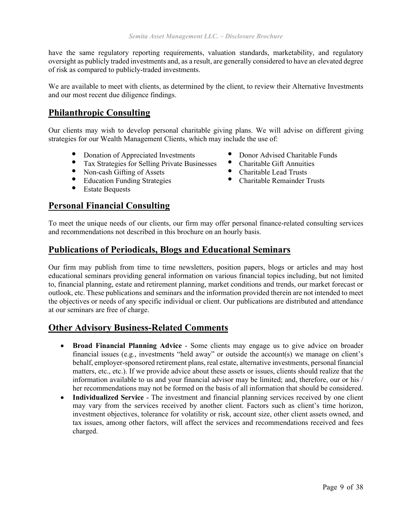have the same regulatory reporting requirements, valuation standards, marketability, and regulatory oversight as publicly traded investments and, as a result, are generally considered to have an elevated degree of risk as compared to publicly-traded investments.

We are available to meet with clients, as determined by the client, to review their Alternative Investments and our most recent due diligence findings.

### **Philanthropic Consulting**

Our clients may wish to develop personal charitable giving plans. We will advise on different giving strategies for our Wealth Management Clients, which may include the use of:

- Donation of Appreciated Investments Donor Advised Charitable Funds
- Tax Strategies for Selling Private Businesses Charitable Gift Annuities<br>• Non analy Gifting of Assets Charitable Lead Trusts
- Non-cash Gifting of Assets Charitable Lead Trusts<br>• Education Funding Strategies Charitable Remainder
- Education Funding Strategies Charitable Remainder Trusts
- Estate Bequests

### **Personal Financial Consulting**

- 
- 
- 
- 

To meet the unique needs of our clients, our firm may offer personal finance-related consulting services and recommendations not described in this brochure on an hourly basis.

### **Publications of Periodicals, Blogs and Educational Seminars**

Our firm may publish from time to time newsletters, position papers, blogs or articles and may host educational seminars providing general information on various financial topics including, but not limited to, financial planning, estate and retirement planning, market conditions and trends, our market forecast or outlook, etc. These publications and seminars and the information provided therein are not intended to meet the objectives or needs of any specific individual or client. Our publications are distributed and attendance at our seminars are free of charge.

### **Other Advisory Business-Related Comments**

- **Broad Financial Planning Advice** Some clients may engage us to give advice on broader financial issues (e.g., investments "held away" or outside the account(s) we manage on client's behalf, employer-sponsored retirement plans, real estate, alternative investments, personal financial matters, etc., etc.). If we provide advice about these assets or issues, clients should realize that the information available to us and your financial advisor may be limited; and, therefore, our or his / her recommendations may not be formed on the basis of all information that should be considered.
- **Individualized Service** The investment and financial planning services received by one client may vary from the services received by another client. Factors such as client's time horizon, investment objectives, tolerance for volatility or risk, account size, other client assets owned, and tax issues, among other factors, will affect the services and recommendations received and fees charged.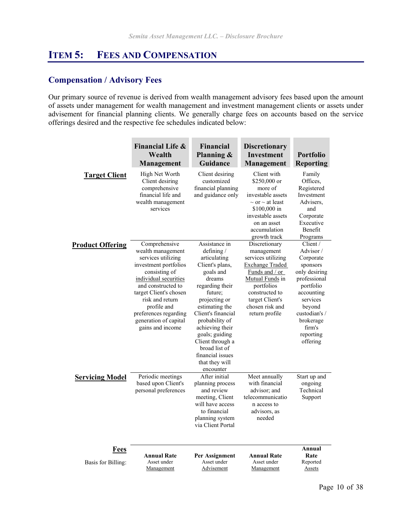# <span id="page-9-0"></span>**ITEM 5: FEES AND COMPENSATION**

### **Compensation / Advisory Fees**

Our primary source of revenue is derived from wealth management advisory fees based upon the amount of assets under management for wealth management and investment management clients or assets under advisement for financial planning clients. We generally charge fees on accounts based on the service offerings desired and the respective fee schedules indicated below:

|                            | <b>Financial Life &amp;</b><br>Wealth<br>Management                                                                                                                                                                                                                                 | <b>Financial</b><br>Planning &<br>Guidance                                                                                                                                                                                                                                                                                  | <b>Discretionary</b><br><b>Investment</b><br><b>Management</b>                                                                                                                                           | <b>Portfolio</b><br><b>Reporting</b>                                                                                                                                                             |
|----------------------------|-------------------------------------------------------------------------------------------------------------------------------------------------------------------------------------------------------------------------------------------------------------------------------------|-----------------------------------------------------------------------------------------------------------------------------------------------------------------------------------------------------------------------------------------------------------------------------------------------------------------------------|----------------------------------------------------------------------------------------------------------------------------------------------------------------------------------------------------------|--------------------------------------------------------------------------------------------------------------------------------------------------------------------------------------------------|
| <b>Target Client</b>       | High Net Worth<br>Client desiring<br>comprehensive<br>financial life and<br>wealth management<br>services                                                                                                                                                                           | Client desiring<br>customized<br>financial planning<br>and guidance only                                                                                                                                                                                                                                                    | Client with<br>$$250,000$ or<br>more of<br>investable assets<br>$\sim$ or $\sim$ at least<br>\$100,000 in<br>investable assets<br>on an asset<br>accumulation<br>growth track                            | Family<br>Offices,<br>Registered<br>Investment<br>Advisers,<br>and<br>Corporate<br>Executive<br>Benefit<br>Programs                                                                              |
| <b>Product Offering</b>    | Comprehensive<br>wealth management<br>services utilizing<br>investment portfolios<br>consisting of<br>individual securities<br>and constructed to<br>target Client's chosen<br>risk and return<br>profile and<br>preferences regarding<br>generation of capital<br>gains and income | Assistance in<br>defining /<br>articulating<br>Client's plans,<br>goals and<br>dreams<br>regarding their<br>future;<br>projecting or<br>estimating the<br>Client's financial<br>probability of<br>achieving their<br>goals; guiding<br>Client through a<br>broad list of<br>financial issues<br>that they will<br>encounter | Discretionary<br>management<br>services utilizing<br><b>Exchange Traded</b><br>Funds and / or<br>Mutual Funds in<br>portfolios<br>constructed to<br>target Client's<br>chosen risk and<br>return profile | Client /<br>Advisor/<br>Corporate<br>sponsors<br>only desiring<br>professional<br>portfolio<br>accounting<br>services<br>beyond<br>custodian's /<br>brokerage<br>firm's<br>reporting<br>offering |
| <b>Servicing Model</b>     | Periodic meetings<br>based upon Client's<br>personal preferences                                                                                                                                                                                                                    | After initial<br>planning process<br>and review<br>meeting, Client<br>will have access<br>to financial<br>planning system<br>via Client Portal                                                                                                                                                                              | Meet annually<br>with financial<br>advisor: and<br>telecommunicatio<br>n access to<br>advisors, as<br>needed                                                                                             | Start up and<br>ongoing<br>Technical<br>Support                                                                                                                                                  |
| Fees<br>Basis for Billing: | <b>Annual Rate</b><br>Asset under<br>Management                                                                                                                                                                                                                                     | Per Assignment<br>Asset under<br>Advisement                                                                                                                                                                                                                                                                                 | <b>Annual Rate</b><br>Asset under<br>Management                                                                                                                                                          | Annual<br>Rate<br>Reported<br>Assets                                                                                                                                                             |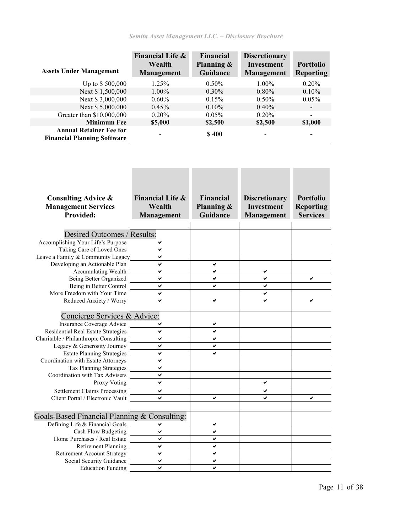| <b>Assets Under Management</b>                                       | Financial Life &<br>Wealth<br>Management | Financial<br>Planning $\&$<br>Guidance | <b>Discretionary</b><br><b>Investment</b><br>Management | <b>Portfolio</b><br><b>Reporting</b> |
|----------------------------------------------------------------------|------------------------------------------|----------------------------------------|---------------------------------------------------------|--------------------------------------|
| Up to \$500,000                                                      | $1.25\%$                                 | $0.50\%$                               | $1.00\%$                                                | $0.20\%$                             |
| Next \$1,500,000                                                     | $1.00\%$                                 | $0.30\%$                               | $0.80\%$                                                | $0.10\%$                             |
| Next \$3,000,000                                                     | $0.60\%$                                 | 0.15%                                  | $0.50\%$                                                | $0.05\%$                             |
| Next \$5,000,000                                                     | 0.45%                                    | $0.10\%$                               | 0.40%                                                   |                                      |
| Greater than \$10,000,000                                            | $0.20\%$                                 | $0.05\%$                               | 0.20%                                                   |                                      |
| <b>Minimum Fee</b>                                                   | \$5,000                                  | \$2,500                                | \$2,500                                                 | \$1,000                              |
| <b>Annual Retainer Fee for</b><br><b>Financial Planning Software</b> |                                          | \$400                                  | -                                                       |                                      |

×

٠

П

n n

m m

 $\mathcal{L}_{\mathcal{A}}$ 

| <b>Consulting Advice &amp;</b>               | Financial Life & | <b>Financial</b> | <b>Discretionary</b> | <b>Portfolio</b> |
|----------------------------------------------|------------------|------------------|----------------------|------------------|
| <b>Management Services</b>                   | Wealth           | Planning &       | <b>Investment</b>    | <b>Reporting</b> |
| <b>Provided:</b>                             | Management       | Guidance         | Management           | <b>Services</b>  |
|                                              |                  |                  |                      |                  |
| Desired Outcomes / Results:                  |                  |                  |                      |                  |
| Accomplishing Your Life's Purpose            |                  |                  |                      |                  |
| Taking Care of Loved Ones                    | ◡                |                  |                      |                  |
| Leave a Family & Community Legacy            | ◡                |                  |                      |                  |
| Developing an Actionable Plan                | ✓                | ✔                |                      |                  |
| Accumulating Wealth                          | ✔                | ✔                | ✔                    |                  |
| Being Better Organized                       | ✔                | ✔                | ✔                    | ✔                |
| Being in Better Control                      | $\checkmark$     | ✔                | ✔                    |                  |
| More Freedom with Your Time                  | V                |                  | ✓                    |                  |
| Reduced Anxiety / Worry                      |                  | ✔                |                      | ✔                |
|                                              |                  |                  |                      |                  |
| Concierge Services & Advice:                 |                  |                  |                      |                  |
| Insurance Coverage Advice                    |                  |                  |                      |                  |
| Residential Real Estate Strategies           | ✓                | ✔                |                      |                  |
| Charitable / Philanthropic Consulting        | ✔                | ✔                |                      |                  |
| Legacy & Generosity Journey                  | $\checkmark$     | ✔                |                      |                  |
| <b>Estate Planning Strategies</b>            | ◡                |                  |                      |                  |
| Coordination with Estate Attorneys           | ✓                |                  |                      |                  |
| Tax Planning Strategies                      | ✔                |                  |                      |                  |
| Coordination with Tax Advisers               | ✔                |                  |                      |                  |
| Proxy Voting                                 | ✓                |                  | ✔                    |                  |
| <b>Settlement Claims Processing</b>          | ✔                |                  | ✔                    |                  |
| Client Portal / Electronic Vault             |                  | ✔                |                      | ✔                |
|                                              |                  |                  |                      |                  |
| Goals-Based Financial Planning & Consulting: |                  |                  |                      |                  |
| Defining Life & Financial Goals              | ✔                | ✔                |                      |                  |
| Cash Flow Budgeting                          | ✔                | ✔                |                      |                  |
| Home Purchases / Real Estate                 | ✓                | ✔                |                      |                  |
| <b>Retirement Planning</b>                   | ✔                | ✔                |                      |                  |
| <b>Retirement Account Strategy</b>           | $\mathbf{v}$     | $\checkmark$     |                      |                  |
| Social Security Guidance                     | ✓                | ✔                |                      |                  |
| <b>Education Funding</b>                     | ✔                | ✔                |                      |                  |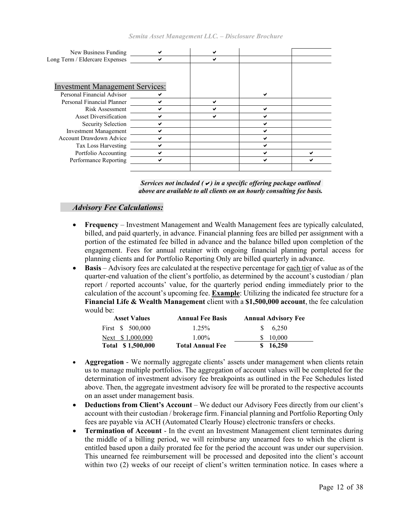| New Business Funding                   |  |  |
|----------------------------------------|--|--|
| Long Term / Eldercare Expenses         |  |  |
|                                        |  |  |
|                                        |  |  |
| <b>Investment Management Services:</b> |  |  |
| Personal Financial Advisor             |  |  |
| Personal Financial Planner             |  |  |
| Risk Assessment                        |  |  |
| <b>Asset Diversification</b>           |  |  |
| Security Selection                     |  |  |
| <b>Investment Management</b>           |  |  |
| <b>Account Drawdown Advice</b>         |  |  |
| Tax Loss Harvesting                    |  |  |
| Portfolio Accounting                   |  |  |
| Performance Reporting                  |  |  |
|                                        |  |  |
|                                        |  |  |



#### *Advisory Fee Calculations:*

- **Frequency** Investment Management and Wealth Management fees are typically calculated, billed, and paid quarterly, in advance. Financial planning fees are billed per assignment with a portion of the estimated fee billed in advance and the balance billed upon completion of the engagement. Fees for annual retainer with ongoing financial planning portal access for planning clients and for Portfolio Reporting Only are billed quarterly in advance.
- **Basis** Advisory fees are calculated at the respective percentage for each tier of value as of the quarter-end valuation of the client's portfolio, as determined by the account's custodian / plan report / reported accounts' value, for the quarterly period ending immediately prior to the calculation of the account's upcoming fee. **Example**: Utilizing the indicated fee structure for a **Financial Life & Wealth Management** client with a **\$1,500,000 account**, the fee calculation would be:

| <b>Asset Values</b> | <b>Annual Fee Basis</b> | <b>Annual Advisory Fee</b> |
|---------------------|-------------------------|----------------------------|
| First \$ 500,000    | $1.25\%$                | $\frac{1}{2}$ 6.250        |
| Next \$1,000,000    | $1.00\%$                | \$ 10,000                  |
| Total \$1,500,000   | Total Annual Fee        | \$16,250                   |

- **Aggregation** We normally aggregate clients' assets under management when clients retain us to manage multiple portfolios. The aggregation of account values will be completed for the determination of investment advisory fee breakpoints as outlined in the Fee Schedules listed above. Then, the aggregate investment advisory fee will be prorated to the respective accounts on an asset under management basis.
- **Deductions from Client's Account** We deduct our Advisory Fees directly from our client's account with their custodian / brokerage firm. Financial planning and Portfolio Reporting Only fees are payable via ACH (Automated Clearly House) electronic transfers or checks.
- **Termination of Account** In the event an Investment Management client terminates during the middle of a billing period, we will reimburse any unearned fees to which the client is entitled based upon a daily prorated fee for the period the account was under our supervision. This unearned fee reimbursement will be processed and deposited into the client's account within two (2) weeks of our receipt of client's written termination notice. In cases where a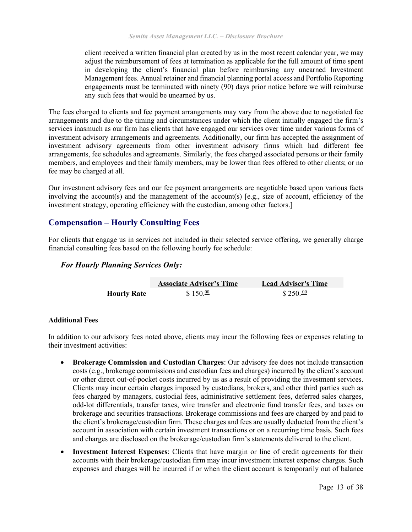client received a written financial plan created by us in the most recent calendar year, we may adjust the reimbursement of fees at termination as applicable for the full amount of time spent in developing the client's financial plan before reimbursing any unearned Investment Management fees. Annual retainer and financial planning portal access and Portfolio Reporting engagements must be terminated with ninety (90) days prior notice before we will reimburse any such fees that would be unearned by us.

The fees charged to clients and fee payment arrangements may vary from the above due to negotiated fee arrangements and due to the timing and circumstances under which the client initially engaged the firm's services inasmuch as our firm has clients that have engaged our services over time under various forms of investment advisory arrangements and agreements. Additionally, our firm has accepted the assignment of investment advisory agreements from other investment advisory firms which had different fee arrangements, fee schedules and agreements. Similarly, the fees charged associated persons or their family members, and employees and their family members, may be lower than fees offered to other clients; or no fee may be charged at all.

Our investment advisory fees and our fee payment arrangements are negotiable based upon various facts involving the account(s) and the management of the account(s) [e.g., size of account, efficiency of the investment strategy, operating efficiency with the custodian, among other factors.]

#### **Compensation – Hourly Consulting Fees**

For clients that engage us in services not included in their selected service offering, we generally charge financial consulting fees based on the following hourly fee schedule:

#### *For Hourly Planning Services Only:*

|                    | <b>Associate Adviser's Time</b> | <b>Lead Adviser's Time</b> |
|--------------------|---------------------------------|----------------------------|
| <b>Hourly Rate</b> | $$150.\frac{00}{2}$             | $$250.\frac{00}{0}$        |

#### **Additional Fees**

In addition to our advisory fees noted above, clients may incur the following fees or expenses relating to their investment activities:

- **Brokerage Commission and Custodian Charges**: Our advisory fee does not include transaction costs (e.g., brokerage commissions and custodian fees and charges) incurred by the client's account or other direct out-of-pocket costs incurred by us as a result of providing the investment services. Clients may incur certain charges imposed by custodians, brokers, and other third parties such as fees charged by managers, custodial fees, administrative settlement fees, deferred sales charges, odd-lot differentials, transfer taxes, wire transfer and electronic fund transfer fees, and taxes on brokerage and securities transactions. Brokerage commissions and fees are charged by and paid to the client's brokerage/custodian firm. These charges and fees are usually deducted from the client's account in association with certain investment transactions or on a recurring time basis. Such fees and charges are disclosed on the brokerage/custodian firm's statements delivered to the client.
- **Investment Interest Expenses**: Clients that have margin or line of credit agreements for their accounts with their brokerage/custodian firm may incur investment interest expense charges. Such expenses and charges will be incurred if or when the client account is temporarily out of balance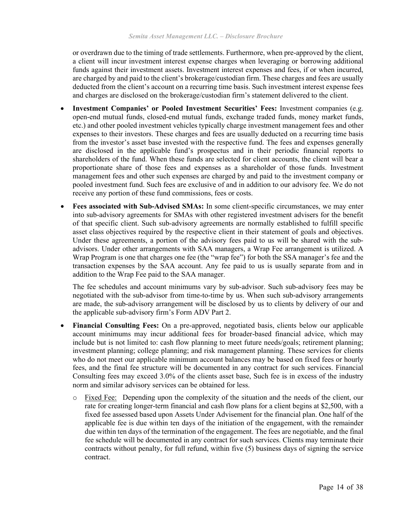or overdrawn due to the timing of trade settlements. Furthermore, when pre-approved by the client, a client will incur investment interest expense charges when leveraging or borrowing additional funds against their investment assets. Investment interest expenses and fees, if or when incurred, are charged by and paid to the client's brokerage/custodian firm. These charges and fees are usually deducted from the client's account on a recurring time basis. Such investment interest expense fees and charges are disclosed on the brokerage/custodian firm's statement delivered to the client.

- **Investment Companies' or Pooled Investment Securities' Fees:** Investment companies (e.g. open-end mutual funds, closed-end mutual funds, exchange traded funds, money market funds, etc.) and other pooled investment vehicles typically charge investment management fees and other expenses to their investors. These charges and fees are usually deducted on a recurring time basis from the investor's asset base invested with the respective fund. The fees and expenses generally are disclosed in the applicable fund's prospectus and in their periodic financial reports to shareholders of the fund. When these funds are selected for client accounts, the client will bear a proportionate share of those fees and expenses as a shareholder of those funds. Investment management fees and other such expenses are charged by and paid to the investment company or pooled investment fund. Such fees are exclusive of and in addition to our advisory fee. We do not receive any portion of these fund commissions, fees or costs.
- **Fees associated with Sub-Advised SMAs:** In some client-specific circumstances, we may enter into sub-advisory agreements for SMAs with other registered investment advisers for the benefit of that specific client. Such sub-advisory agreements are normally established to fulfill specific asset class objectives required by the respective client in their statement of goals and objectives. Under these agreements, a portion of the advisory fees paid to us will be shared with the subadvisors. Under other arrangements with SAA managers, a Wrap Fee arrangement is utilized. A Wrap Program is one that charges one fee (the "wrap fee") for both the SSA manager's fee and the transaction expenses by the SAA account. Any fee paid to us is usually separate from and in addition to the Wrap Fee paid to the SAA manager.

The fee schedules and account minimums vary by sub-advisor. Such sub-advisory fees may be negotiated with the sub-advisor from time-to-time by us. When such sub-advisory arrangements are made, the sub-advisory arrangement will be disclosed by us to clients by delivery of our and the applicable sub-advisory firm's Form ADV Part 2.

- **Financial Consulting Fees:** On a pre-approved, negotiated basis, clients below our applicable account minimums may incur additional fees for broader-based financial advice, which may include but is not limited to: cash flow planning to meet future needs/goals; retirement planning; investment planning; college planning; and risk management planning. These services for clients who do not meet our applicable minimum account balances may be based on fixed fees or hourly fees, and the final fee structure will be documented in any contract for such services. Financial Consulting fees may exceed 3.0% of the clients asset base, Such fee is in excess of the industry norm and similar advisory services can be obtained for less.
	- o Fixed Fee: Depending upon the complexity of the situation and the needs of the client, our rate for creating longer-term financial and cash flow plans for a client begins at \$2,500, with a fixed fee assessed based upon Assets Under Advisement for the financial plan. One half of the applicable fee is due within ten days of the initiation of the engagement, with the remainder due within ten days of the termination of the engagement. The fees are negotiable, and the final fee schedule will be documented in any contract for such services. Clients may terminate their contracts without penalty, for full refund, within five (5) business days of signing the service contract.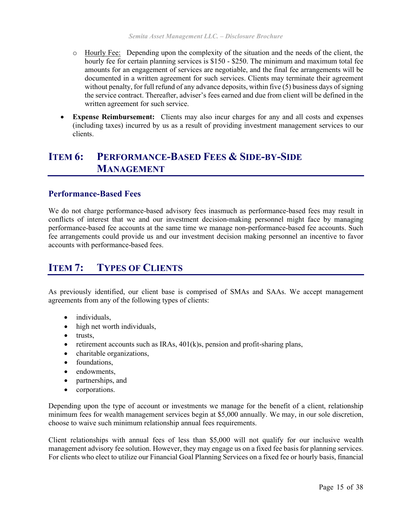- o Hourly Fee: Depending upon the complexity of the situation and the needs of the client, the hourly fee for certain planning services is \$150 - \$250. The minimum and maximum total fee amounts for an engagement of services are negotiable, and the final fee arrangements will be documented in a written agreement for such services. Clients may terminate their agreement without penalty, for full refund of any advance deposits, within five (5) business days of signing the service contract. Thereafter, adviser's fees earned and due from client will be defined in the written agreement for such service.
- **Expense Reimbursement:** Clients may also incur charges for any and all costs and expenses (including taxes) incurred by us as a result of providing investment management services to our clients.

# <span id="page-14-0"></span>**ITEM 6: PERFORMANCE-BASED FEES & SIDE-BY-SIDE MANAGEMENT**

#### **Performance-Based Fees**

We do not charge performance-based advisory fees inasmuch as performance-based fees may result in conflicts of interest that we and our investment decision-making personnel might face by managing performance-based fee accounts at the same time we manage non-performance-based fee accounts. Such fee arrangements could provide us and our investment decision making personnel an incentive to favor accounts with performance-based fees.

# <span id="page-14-1"></span>**ITEM 7: TYPES OF CLIENTS**

As previously identified, our client base is comprised of SMAs and SAAs. We accept management agreements from any of the following types of clients:

- individuals,
- high net worth individuals,
- trusts,
- retirement accounts such as IRAs,  $401(k)s$ , pension and profit-sharing plans,
- charitable organizations,
- foundations,
- endowments.
- partnerships, and
- corporations.

Depending upon the type of account or investments we manage for the benefit of a client, relationship minimum fees for wealth management services begin at \$5,000 annually. We may, in our sole discretion, choose to waive such minimum relationship annual fees requirements.

Client relationships with annual fees of less than \$5,000 will not qualify for our inclusive wealth management advisory fee solution. However, they may engage us on a fixed fee basis for planning services. For clients who elect to utilize our Financial Goal Planning Services on a fixed fee or hourly basis, financial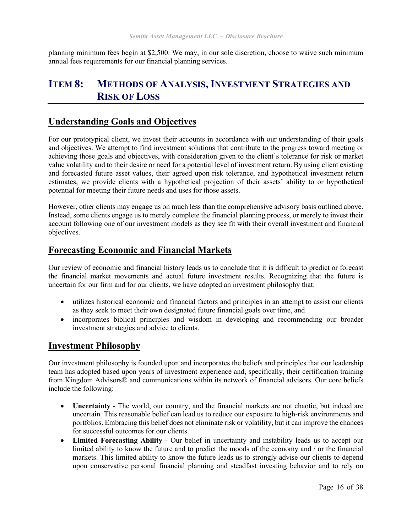planning minimum fees begin at \$2,500. We may, in our sole discretion, choose to waive such minimum annual fees requirements for our financial planning services.

# <span id="page-15-0"></span>**ITEM 8: METHODS OF ANALYSIS, INVESTMENT STRATEGIES AND RISK OF LOSS**

### **Understanding Goals and Objectives**

For our prototypical client, we invest their accounts in accordance with our understanding of their goals and objectives. We attempt to find investment solutions that contribute to the progress toward meeting or achieving those goals and objectives, with consideration given to the client's tolerance for risk or market value volatility and to their desire or need for a potential level of investment return. By using client existing and forecasted future asset values, their agreed upon risk tolerance, and hypothetical investment return estimates, we provide clients with a hypothetical projection of their assets' ability to or hypothetical potential for meeting their future needs and uses for those assets.

However, other clients may engage us on much less than the comprehensive advisory basis outlined above. Instead, some clients engage us to merely complete the financial planning process, or merely to invest their account following one of our investment models as they see fit with their overall investment and financial objectives.

### **Forecasting Economic and Financial Markets**

Our review of economic and financial history leads us to conclude that it is difficult to predict or forecast the financial market movements and actual future investment results. Recognizing that the future is uncertain for our firm and for our clients, we have adopted an investment philosophy that:

- utilizes historical economic and financial factors and principles in an attempt to assist our clients as they seek to meet their own designated future financial goals over time, and
- incorporates biblical principles and wisdom in developing and recommending our broader investment strategies and advice to clients.

#### **Investment Philosophy**

Our investment philosophy is founded upon and incorporates the beliefs and principles that our leadership team has adopted based upon years of investment experience and, specifically, their certification training from Kingdom Advisors® and communications within its network of financial advisors. Our core beliefs include the following:

- **Uncertainty** The world, our country, and the financial markets are not chaotic, but indeed are uncertain. This reasonable belief can lead us to reduce our exposure to high-risk environments and portfolios. Embracing this belief does not eliminate risk or volatility, but it can improve the chances for successful outcomes for our clients.
- **Limited Forecasting Ability** Our belief in uncertainty and instability leads us to accept our limited ability to know the future and to predict the moods of the economy and / or the financial markets. This limited ability to know the future leads us to strongly advise our clients to depend upon conservative personal financial planning and steadfast investing behavior and to rely on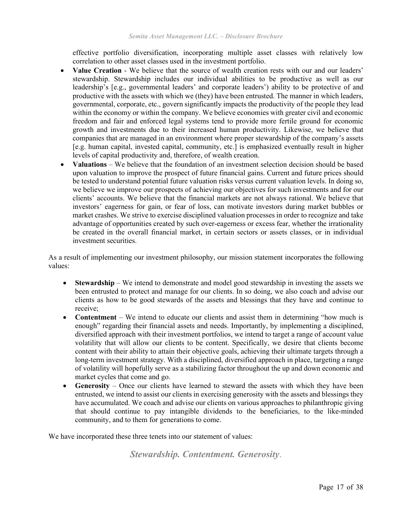effective portfolio diversification, incorporating multiple asset classes with relatively low correlation to other asset classes used in the investment portfolio.

- **Value Creation** We believe that the source of wealth creation rests with our and our leaders' stewardship. Stewardship includes our individual abilities to be productive as well as our leadership's [e.g., governmental leaders' and corporate leaders') ability to be protective of and productive with the assets with which we (they) have been entrusted. The manner in which leaders, governmental, corporate, etc., govern significantly impacts the productivity of the people they lead within the economy or within the company. We believe economies with greater civil and economic freedom and fair and enforced legal systems tend to provide more fertile ground for economic growth and investments due to their increased human productivity. Likewise, we believe that companies that are managed in an environment where proper stewardship of the company's assets [e.g. human capital, invested capital, community, etc.] is emphasized eventually result in higher levels of capital productivity and, therefore, of wealth creation.
- **Valuations** We believe that the foundation of an investment selection decision should be based upon valuation to improve the prospect of future financial gains. Current and future prices should be tested to understand potential future valuation risks versus current valuation levels. In doing so, we believe we improve our prospects of achieving our objectives for such investments and for our clients' accounts. We believe that the financial markets are not always rational. We believe that investors' eagerness for gain, or fear of loss, can motivate investors during market bubbles or market crashes. We strive to exercise disciplined valuation processes in order to recognize and take advantage of opportunities created by such over-eagerness or excess fear, whether the irrationality be created in the overall financial market, in certain sectors or assets classes, or in individual investment securities.

As a result of implementing our investment philosophy, our mission statement incorporates the following values:

- **Stewardship** We intend to demonstrate and model good stewardship in investing the assets we been entrusted to protect and manage for our clients. In so doing, we also coach and advise our clients as how to be good stewards of the assets and blessings that they have and continue to receive;
- **Contentment** We intend to educate our clients and assist them in determining "how much is enough" regarding their financial assets and needs. Importantly, by implementing a disciplined, diversified approach with their investment portfolios, we intend to target a range of account value volatility that will allow our clients to be content. Specifically, we desire that clients become content with their ability to attain their objective goals, achieving their ultimate targets through a long-term investment strategy. With a disciplined, diversified approach in place, targeting a range of volatility will hopefully serve as a stabilizing factor throughout the up and down economic and market cycles that come and go.
- **Generosity** Once our clients have learned to steward the assets with which they have been entrusted, we intend to assist our clients in exercising generosity with the assets and blessings they have accumulated. We coach and advise our clients on various approaches to philanthropic giving that should continue to pay intangible dividends to the beneficiaries, to the like-minded community, and to them for generations to come.

We have incorporated these three tenets into our statement of values:

*Stewardship. Contentment. Generosity*.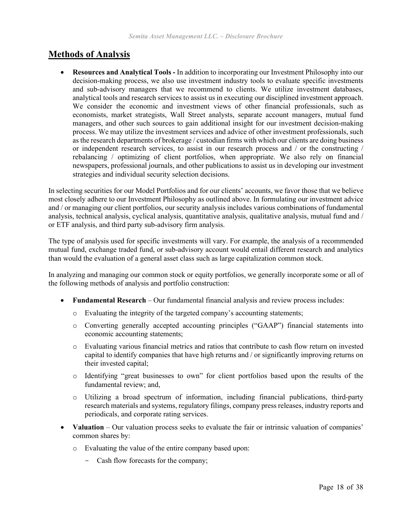# **Methods of Analysis**

• **Resources and Analytical Tools -** In addition to incorporating our Investment Philosophy into our decision-making process, we also use investment industry tools to evaluate specific investments and sub-advisory managers that we recommend to clients. We utilize investment databases, analytical tools and research services to assist us in executing our disciplined investment approach. We consider the economic and investment views of other financial professionals, such as economists, market strategists, Wall Street analysts, separate account managers, mutual fund managers, and other such sources to gain additional insight for our investment decision-making process. We may utilize the investment services and advice of other investment professionals, such as the research departments of brokerage / custodian firms with which our clients are doing business or independent research services, to assist in our research process and / or the constructing / rebalancing / optimizing of client portfolios, when appropriate. We also rely on financial newspapers, professional journals, and other publications to assist us in developing our investment strategies and individual security selection decisions.

In selecting securities for our Model Portfolios and for our clients' accounts, we favor those that we believe most closely adhere to our Investment Philosophy as outlined above. In formulating our investment advice and / or managing our client portfolios, our security analysis includes various combinations of fundamental analysis, technical analysis, cyclical analysis, quantitative analysis, qualitative analysis, mutual fund and / or ETF analysis, and third party sub-advisory firm analysis.

The type of analysis used for specific investments will vary. For example, the analysis of a recommended mutual fund, exchange traded fund, or sub-advisory account would entail different research and analytics than would the evaluation of a general asset class such as large capitalization common stock.

In analyzing and managing our common stock or equity portfolios, we generally incorporate some or all of the following methods of analysis and portfolio construction:

- **Fundamental Research** Our fundamental financial analysis and review process includes:
	- o Evaluating the integrity of the targeted company's accounting statements;
	- o Converting generally accepted accounting principles ("GAAP") financial statements into economic accounting statements;
	- o Evaluating various financial metrics and ratios that contribute to cash flow return on invested capital to identify companies that have high returns and / or significantly improving returns on their invested capital;
	- o Identifying "great businesses to own" for client portfolios based upon the results of the fundamental review; and,
	- o Utilizing a broad spectrum of information, including financial publications, third-party research materials and systems, regulatory filings, company press releases, industry reports and periodicals, and corporate rating services.
- **Valuation** Our valuation process seeks to evaluate the fair or intrinsic valuation of companies' common shares by:
	- o Evaluating the value of the entire company based upon:
		- Cash flow forecasts for the company;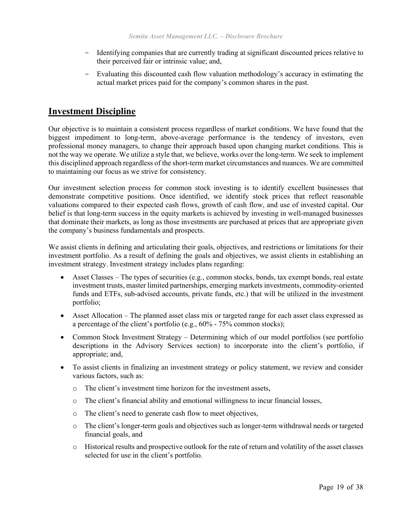- Identifying companies that are currently trading at significant discounted prices relative to their perceived fair or intrinsic value; and,
- Evaluating this discounted cash flow valuation methodology's accuracy in estimating the actual market prices paid for the company's common shares in the past.

### **Investment Discipline**

Our objective is to maintain a consistent process regardless of market conditions. We have found that the biggest impediment to long-term, above-average performance is the tendency of investors, even professional money managers, to change their approach based upon changing market conditions. This is not the way we operate. We utilize a style that, we believe, works over the long-term. We seek to implement this disciplined approach regardless of the short-term market circumstances and nuances. We are committed to maintaining our focus as we strive for consistency.

Our investment selection process for common stock investing is to identify excellent businesses that demonstrate competitive positions. Once identified, we identify stock prices that reflect reasonable valuations compared to their expected cash flows, growth of cash flow, and use of invested capital. Our belief is that long-term success in the equity markets is achieved by investing in well-managed businesses that dominate their markets, as long as those investments are purchased at prices that are appropriate given the company's business fundamentals and prospects.

We assist clients in defining and articulating their goals, objectives, and restrictions or limitations for their investment portfolio. As a result of defining the goals and objectives, we assist clients in establishing an investment strategy. Investment strategy includes plans regarding:

- Asset Classes The types of securities (e.g., common stocks, bonds, tax exempt bonds, real estate investment trusts, master limited partnerships, emerging markets investments, commodity-oriented funds and ETFs, sub-advised accounts, private funds, etc.) that will be utilized in the investment portfolio;
- Asset Allocation The planned asset class mix or targeted range for each asset class expressed as a percentage of the client's portfolio (e.g., 60% - 75% common stocks);
- Common Stock Investment Strategy Determining which of our model portfolios (see portfolio descriptions in the Advisory Services section) to incorporate into the client's portfolio, if appropriate; and,
- To assist clients in finalizing an investment strategy or policy statement, we review and consider various factors, such as:
	- o The client's investment time horizon for the investment assets,
	- $\circ$  The client's financial ability and emotional willingness to incur financial losses,
	- o The client's need to generate cash flow to meet objectives,
	- o The client's longer-term goals and objectives such as longer-term withdrawal needs or targeted financial goals, and
	- o Historical results and prospective outlook for the rate of return and volatility of the asset classes selected for use in the client's portfolio.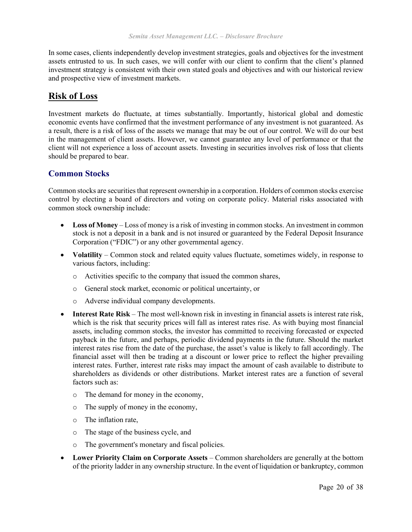In some cases, clients independently develop investment strategies, goals and objectives for the investment assets entrusted to us. In such cases, we will confer with our client to confirm that the client's planned investment strategy is consistent with their own stated goals and objectives and with our historical review and prospective view of investment markets.

### **Risk of Loss**

Investment markets do fluctuate, at times substantially. Importantly, historical global and domestic economic events have confirmed that the investment performance of any investment is not guaranteed. As a result, there is a risk of loss of the assets we manage that may be out of our control. We will do our best in the management of client assets. However, we cannot guarantee any level of performance or that the client will not experience a loss of account assets. Investing in securities involves risk of loss that clients should be prepared to bear.

#### **Common Stocks**

Common stocks are securities that represent ownership in a corporation. Holders of common stocks exercise control by electing a board of directors and voting on corporate policy. Material risks associated with common stock ownership include:

- Loss of Money Loss of money is a risk of investing in common stocks. An investment in common stock is not a deposit in a bank and is not insured or guaranteed by the Federal Deposit Insurance Corporation ("FDIC") or any other governmental agency.
- Volatility Common stock and related equity values fluctuate, sometimes widely, in response to various factors, including:
	- o Activities specific to the company that issued the common shares,
	- o General stock market, economic or political uncertainty, or
	- o Adverse individual company developments.
- **Interest Rate Risk** The most well-known risk in investing in financial assets is interest rate risk, which is the risk that security prices will fall as interest rates rise. As with buying most financial assets, including common stocks, the investor has committed to receiving forecasted or expected payback in the future, and perhaps, periodic dividend payments in the future. Should the market interest rates rise from the date of the purchase, the asset's value is likely to fall accordingly. The financial asset will then be trading at a discount or lower price to reflect the higher prevailing interest rates. Further, interest rate risks may impact the amount of cash available to distribute to shareholders as dividends or other distributions. Market interest rates are a function of several factors such as:
	- o The demand for money in the economy,
	- o The supply of money in the economy,
	- o The inflation rate,
	- o The stage of the business cycle, and
	- o The government's monetary and fiscal policies.
- **Lower Priority Claim on Corporate Assets**  Common shareholders are generally at the bottom of the priority ladder in any ownership structure. In the event of liquidation or bankruptcy, common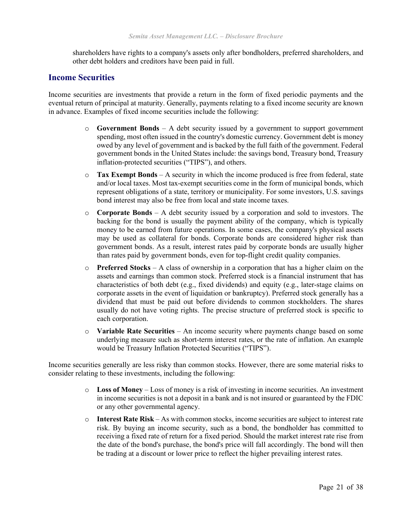shareholders have rights to a company's assets only after bondholders, preferred shareholders, and other debt holders and creditors have been paid in full.

#### **Income Securities**

Income securities are investments that provide a return in the form of fixed periodic payments and the eventual return of principal at maturity. Generally, payments relating to a fixed income security are known in advance. Examples of fixed income securities include the following:

- o **Government Bonds**  A debt security issued by a government to support government spending, most often issued in the country's domestic currency. Government debt is money owed by any level of government and is backed by the full faith of the government. Federal government bonds in the United States include: the savings bond, Treasury bond, Treasury inflation-protected securities ("TIPS"), and others.
- o **Tax Exempt Bonds**  A security in which the income produced is free from federal, state and/or local taxes. Most tax-exempt securities come in the form of municipal bonds, which represent obligations of a state, territory or municipality. For some investors, U.S. savings bond interest may also be free from local and state income taxes.
- o **Corporate Bonds**  A debt security issued by a corporation and sold to investors. The backing for the bond is usually the payment ability of the company, which is typically money to be earned from future operations. In some cases, the company's physical assets may be used as collateral for bonds. Corporate bonds are considered higher risk than government bonds. As a result, interest rates paid by corporate bonds are usually higher than rates paid by government bonds, even for top-flight credit quality companies.
- o **Preferred Stocks**  A class of ownership in a corporation that has a higher claim on the assets and earnings than common stock. Preferred stock is a financial instrument that has characteristics of both debt (e.g., fixed dividends) and equity (e.g., later-stage claims on corporate assets in the event of liquidation or bankruptcy). Preferred stock generally has a dividend that must be paid out before dividends to common stockholders. The shares usually do not have voting rights. The precise structure of preferred stock is specific to each corporation.
- o **Variable Rate Securities**  An income security where payments change based on some underlying measure such as short-term interest rates, or the rate of inflation. An example would be Treasury Inflation Protected Securities ("TIPS").

Income securities generally are less risky than common stocks. However, there are some material risks to consider relating to these investments, including the following:

- o **Loss of Money**  Loss of money is a risk of investing in income securities. An investment in income securities is not a deposit in a bank and is not insured or guaranteed by the FDIC or any other governmental agency.
- o **Interest Rate Risk** As with common stocks, income securities are subject to interest rate risk. By buying an income security, such as a bond, the bondholder has committed to receiving a fixed rate of return for a fixed period. Should the market interest rate rise from the date of the bond's purchase, the bond's price will fall accordingly. The bond will then be trading at a discount or lower price to reflect the higher prevailing interest rates.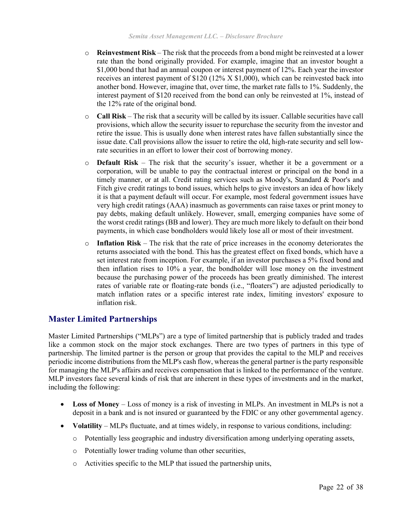- o **Reinvestment Risk**  The risk that the proceeds from a bond might be reinvested at a lower rate than the bond originally provided. For example, imagine that an investor bought a \$1,000 bond that had an annual coupon or interest payment of 12%. Each year the investor receives an interest payment of  $$120 (12% X $1,000)$ , which can be reinvested back into another bond. However, imagine that, over time, the market rate falls to 1%. Suddenly, the interest payment of \$120 received from the bond can only be reinvested at 1%, instead of the 12% rate of the original bond.
- o **Call Risk**  The risk that a security will be called by its issuer. Callable securities have call provisions, which allow the security issuer to repurchase the security from the investor and retire the issue. This is usually done when interest rates have fallen substantially since the issue date. Call provisions allow the issuer to retire the old, high-rate security and sell lowrate securities in an effort to lower their cost of borrowing money.
- o **Default Risk**  The risk that the security's issuer, whether it be a government or a corporation, will be unable to pay the contractual interest or principal on the bond in a timely manner, or at all. Credit rating services such as Moody's, Standard & Poor's and Fitch give credit ratings to bond issues, which helps to give investors an idea of how likely it is that a payment default will occur. For example, most federal government issues have very high credit ratings (AAA) inasmuch as governments can raise taxes or print money to pay debts, making default unlikely. However, small, emerging companies have some of the worst credit ratings (BB and lower). They are much more likely to default on their bond payments, in which case bondholders would likely lose all or most of their investment.
- o **Inflation Risk**  The risk that the rate of price increases in the economy deteriorates the returns associated with the bond. This has the greatest effect on fixed bonds, which have a set interest rate from inception. For example, if an investor purchases a 5% fixed bond and then inflation rises to 10% a year, the bondholder will lose money on the investment because the purchasing power of the proceeds has been greatly diminished. The interest rates of variable rate or floating-rate bonds (i.e., "floaters") are adjusted periodically to match inflation rates or a specific interest rate index, limiting investors' exposure to inflation risk.

#### **Master Limited Partnerships**

Master Limited Partnerships ("MLPs") are a type of limited partnership that is publicly traded and trades like a common stock on the major stock exchanges. There are two types of partners in this type of partnership. The limited partner is the person or group that provides the capital to the MLP and receives periodic income distributions from the MLP's cash flow, whereas the general partner is the party responsible for managing the MLP's affairs and receives compensation that is linked to the performance of the venture. MLP investors face several kinds of risk that are inherent in these types of investments and in the market, including the following:

- Loss of Money Loss of money is a risk of investing in MLPs. An investment in MLPs is not a deposit in a bank and is not insured or guaranteed by the FDIC or any other governmental agency.
- **Volatility** MLPs fluctuate, and at times widely, in response to various conditions, including:
	- o Potentially less geographic and industry diversification among underlying operating assets,
	- o Potentially lower trading volume than other securities,
	- o Activities specific to the MLP that issued the partnership units,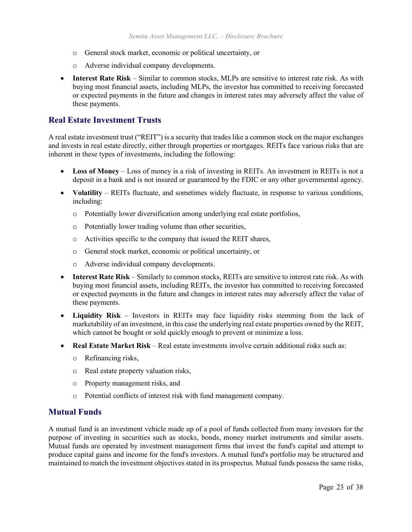- o General stock market, economic or political uncertainty, or
- o Adverse individual company developments.
- **Interest Rate Risk** Similar to common stocks, MLPs are sensitive to interest rate risk. As with buying most financial assets, including MLPs, the investor has committed to receiving forecasted or expected payments in the future and changes in interest rates may adversely affect the value of these payments.

#### **Real Estate Investment Trusts**

A real estate investment trust ("REIT") is a security that trades like a common stock on the major exchanges and invests in real estate directly, either through properties or mortgages. REITs face various risks that are inherent in these types of investments, including the following:

- Loss of Money Loss of money is a risk of investing in REITs. An investment in REITs is not a deposit in a bank and is not insured or guaranteed by the FDIC or any other governmental agency.
- **Volatility** REITs fluctuate, and sometimes widely fluctuate, in response to various conditions, including:
	- o Potentially lower diversification among underlying real estate portfolios,
	- o Potentially lower trading volume than other securities,
	- o Activities specific to the company that issued the REIT shares,
	- o General stock market, economic or political uncertainty, or
	- o Adverse individual company developments.
- **Interest Rate Risk** Similarly to common stocks, REITs are sensitive to interest rate risk. As with buying most financial assets, including REITs, the investor has committed to receiving forecasted or expected payments in the future and changes in interest rates may adversely affect the value of these payments.
- **Liquidity Risk**  Investors in REITs may face liquidity risks stemming from the lack of marketability of an investment, in this case the underlying real estate properties owned by the REIT, which cannot be bought or sold quickly enough to prevent or minimize a loss.
- **Real Estate Market Risk** Real estate investments involve certain additional risks such as:
	- o Refinancing risks,
	- o Real estate property valuation risks,
	- o Property management risks, and
	- o Potential conflicts of interest risk with fund management company.

#### **Mutual Funds**

A mutual fund is an investment vehicle made up of a pool of funds collected from many investors for the purpose of investing in securities such as stocks, bonds, money market instruments and similar assets. Mutual funds are operated by investment management firms that invest the fund's capital and attempt to produce capital gains and income for the fund's investors. A mutual fund's portfolio may be structured and maintained to match the investment objectives stated in its prospectus. Mutual funds possess the same risks,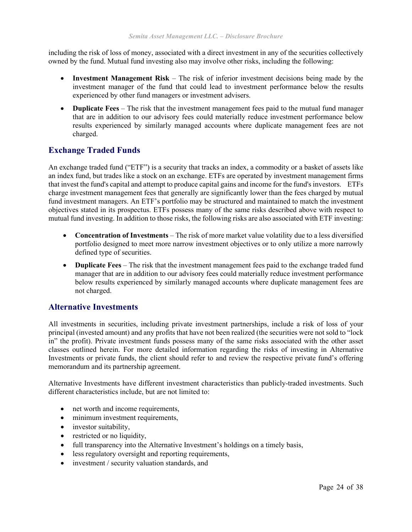including the risk of loss of money, associated with a direct investment in any of the securities collectively owned by the fund. Mutual fund investing also may involve other risks, including the following:

- **Investment Management Risk** The risk of inferior investment decisions being made by the investment manager of the fund that could lead to investment performance below the results experienced by other fund managers or investment advisers.
- **Duplicate Fees** The risk that the investment management fees paid to the mutual fund manager that are in addition to our advisory fees could materially reduce investment performance below results experienced by similarly managed accounts where duplicate management fees are not charged.

### **Exchange Traded Funds**

An exchange traded fund ("ETF") is a security that tracks an index, a commodity or a basket of assets like an index fund, but trades like a stock on an exchange. ETFs are operated by investment management firms that invest the fund's capital and attempt to produce capital gains and income for the fund's investors. ETFs charge investment management fees that generally are significantly lower than the fees charged by mutual fund investment managers. An ETF's portfolio may be structured and maintained to match the investment objectives stated in its prospectus. ETFs possess many of the same risks described above with respect to mutual fund investing. In addition to those risks, the following risks are also associated with ETF investing:

- **Concentration of Investments** The risk of more market value volatility due to a less diversified portfolio designed to meet more narrow investment objectives or to only utilize a more narrowly defined type of securities.
- **Duplicate Fees** The risk that the investment management fees paid to the exchange traded fund manager that are in addition to our advisory fees could materially reduce investment performance below results experienced by similarly managed accounts where duplicate management fees are not charged.

#### **Alternative Investments**

All investments in securities, including private investment partnerships, include a risk of loss of your principal (invested amount) and any profits that have not been realized (the securities were not sold to "lock in" the profit). Private investment funds possess many of the same risks associated with the other asset classes outlined herein. For more detailed information regarding the risks of investing in Alternative Investments or private funds, the client should refer to and review the respective private fund's offering memorandum and its partnership agreement.

Alternative Investments have different investment characteristics than publicly-traded investments. Such different characteristics include, but are not limited to:

- net worth and income requirements,
- minimum investment requirements,
- investor suitability,
- restricted or no liquidity,
- full transparency into the Alternative Investment's holdings on a timely basis,
- less regulatory oversight and reporting requirements,
- investment / security valuation standards, and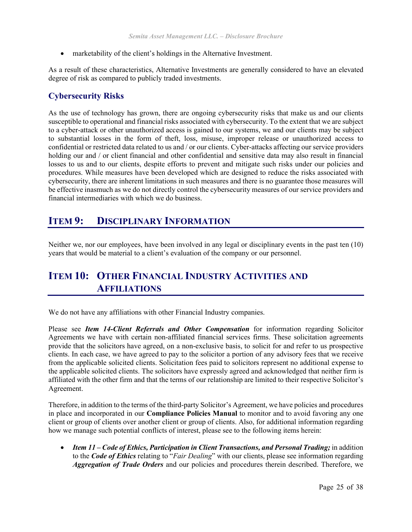• marketability of the client's holdings in the Alternative Investment.

As a result of these characteristics, Alternative Investments are generally considered to have an elevated degree of risk as compared to publicly traded investments.

#### **Cybersecurity Risks**

As the use of technology has grown, there are ongoing cybersecurity risks that make us and our clients susceptible to operational and financial risks associated with cybersecurity. To the extent that we are subject to a cyber-attack or other unauthorized access is gained to our systems, we and our clients may be subject to substantial losses in the form of theft, loss, misuse, improper release or unauthorized access to confidential or restricted data related to us and / or our clients. Cyber-attacks affecting our service providers holding our and / or client financial and other confidential and sensitive data may also result in financial losses to us and to our clients, despite efforts to prevent and mitigate such risks under our policies and procedures. While measures have been developed which are designed to reduce the risks associated with cybersecurity, there are inherent limitations in such measures and there is no guarantee those measures will be effective inasmuch as we do not directly control the cybersecurity measures of our service providers and financial intermediaries with which we do business.

# <span id="page-24-0"></span>**ITEM 9: DISCIPLINARY INFORMATION**

Neither we, nor our employees, have been involved in any legal or disciplinary events in the past ten (10) years that would be material to a client's evaluation of the company or our personnel.

# <span id="page-24-1"></span>**ITEM 10: OTHER FINANCIAL INDUSTRY ACTIVITIES AND AFFILIATIONS**

We do not have any affiliations with other Financial Industry companies.

Please see *Item 14-Client Referrals and Other Compensation* for information regarding Solicitor Agreements we have with certain non-affiliated financial services firms. These solicitation agreements provide that the solicitors have agreed, on a non-exclusive basis, to solicit for and refer to us prospective clients. In each case, we have agreed to pay to the solicitor a portion of any advisory fees that we receive from the applicable solicited clients. Solicitation fees paid to solicitors represent no additional expense to the applicable solicited clients. The solicitors have expressly agreed and acknowledged that neither firm is affiliated with the other firm and that the terms of our relationship are limited to their respective Solicitor's Agreement.

Therefore, in addition to the terms of the third-party Solicitor's Agreement, we have policies and procedures in place and incorporated in our **Compliance Policies Manual** to monitor and to avoid favoring any one client or group of clients over another client or group of clients. Also, for additional information regarding how we manage such potential conflicts of interest, please see to the following items herein:

• *Item 11 – Code of Ethics, Participation in Client Transactions, and Personal Trading;* in addition to the *Code of Ethics* relating to "*Fair Dealing*" with our clients, please see information regarding *Aggregation of Trade Orders* and our policies and procedures therein described. Therefore, we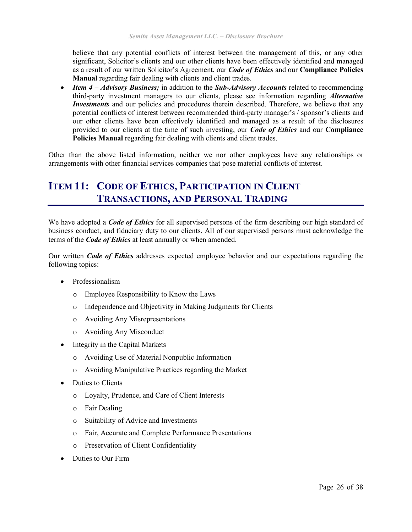believe that any potential conflicts of interest between the management of this, or any other significant, Solicitor's clients and our other clients have been effectively identified and managed as a result of our written Solicitor's Agreement, our *Code of Ethics* and our **Compliance Policies Manual** regarding fair dealing with clients and client trades.

• *Item 4 – Advisory Business;* in addition to the *Sub-Advisory Accounts* related to recommending third-party investment managers to our clients, please see information regarding *Alternative Investments* and our policies and procedures therein described. Therefore, we believe that any potential conflicts of interest between recommended third-party manager's / sponsor's clients and our other clients have been effectively identified and managed as a result of the disclosures provided to our clients at the time of such investing, our *Code of Ethics* and our **Compliance Policies Manual** regarding fair dealing with clients and client trades.

Other than the above listed information, neither we nor other employees have any relationships or arrangements with other financial services companies that pose material conflicts of interest.

# <span id="page-25-0"></span>**ITEM 11: CODE OF ETHICS, PARTICIPATION IN CLIENT TRANSACTIONS, AND PERSONAL TRADING**

We have adopted a *Code of Ethics* for all supervised persons of the firm describing our high standard of business conduct, and fiduciary duty to our clients. All of our supervised persons must acknowledge the terms of the *Code of Ethics* at least annually or when amended.

Our written *Code of Ethics* addresses expected employee behavior and our expectations regarding the following topics:

- Professionalism
	- o Employee Responsibility to Know the Laws
	- o Independence and Objectivity in Making Judgments for Clients
	- o Avoiding Any Misrepresentations
	- o Avoiding Any Misconduct
- Integrity in the Capital Markets
	- o Avoiding Use of Material Nonpublic Information
	- o Avoiding Manipulative Practices regarding the Market
- Duties to Clients
	- o Loyalty, Prudence, and Care of Client Interests
	- o Fair Dealing
	- o Suitability of Advice and Investments
	- o Fair, Accurate and Complete Performance Presentations
	- o Preservation of Client Confidentiality
- Duties to Our Firm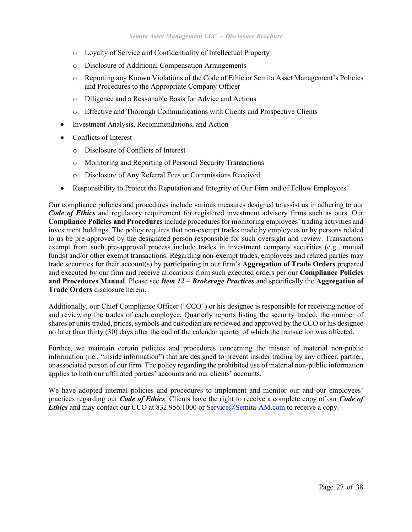- o Loyalty of Service and Confidentiality of Intellectual Property
- o Disclosure of Additional Compensation Arrangements
- o Reporting any Known Violations of the Code of Ethic or Semita Asset Management's Policies and Procedures to the Appropriate Company Officer
- o Diligence and a Reasonable Basis for Advice and Actions
- o Effective and Thorough Communications with Clients and Prospective Clients
- Investment Analysis, Recommendations, and Action
- Conflicts of Interest
	- o Disclosure of Conflicts of Interest
	- o Monitoring and Reporting of Personal Security Transactions
	- o Disclosure of Any Referral Fees or Commissions Received
- Responsibility to Protect the Reputation and Integrity of Our Firm and of Fellow Employees

Our compliance policies and procedures include various measures designed to assist us in adhering to our *Code of Ethics* and regulatory requirement for registered investment advisory firms such as ours. Our **Compliance Policies and Procedures** include procedures for monitoring employees' trading activities and investment holdings. The policy requires that non-exempt trades made by employees or by persons related to us be pre-approved by the designated person responsible for such oversight and review. Transactions exempt from such pre-approval process include trades in investment company securities (e.g., mutual funds) and/or other exempt transactions. Regarding non-exempt trades, employees and related parties may trade securities for their account(s) by participating in our firm's **Aggregation of Trade Orders** prepared and executed by our firm and receive allocations from such executed orders per our **Compliance Policies and Procedures Manual**. Please see *Item 12 – Brokerage Practices* and specifically the **Aggregation of Trade Orders** disclosure herein.

Additionally, our Chief Compliance Officer ("CCO") or his designee is responsible for receiving notice of and reviewing the trades of each employee. Quarterly reports listing the security traded, the number of shares or units traded, prices, symbols and custodian are reviewed and approved by the CCO or his designee no later than thirty (30) days after the end of the calendar quarter of which the transaction was affected.

Further, we maintain certain policies and procedures concerning the misuse of material non-public information (i.e., "inside information") that are designed to prevent insider trading by any officer, partner, or associated person of our firm. The policy regarding the prohibited use of material non-public information applies to both our affiliated parties' accounts and our clients' accounts.

We have adopted internal policies and procedures to implement and monitor our and our employees' practices regarding our *Code of Ethics*. Clients have the right to receive a complete copy of our *Code of Ethics* and may contact our CCO at 832.956.1000 or Service@Semita-AM.com to receive a copy.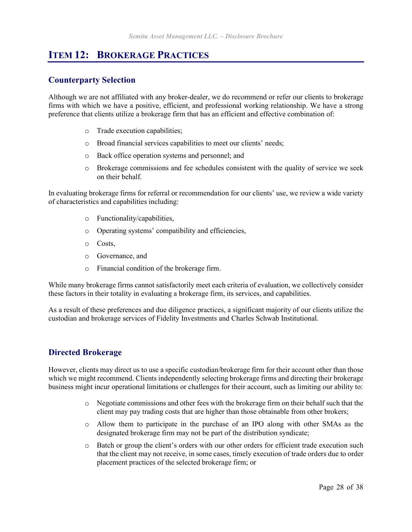# <span id="page-27-0"></span>**ITEM 12: BROKERAGE PRACTICES**

### **Counterparty Selection**

Although we are not affiliated with any broker-dealer, we do recommend or refer our clients to brokerage firms with which we have a positive, efficient, and professional working relationship. We have a strong preference that clients utilize a brokerage firm that has an efficient and effective combination of:

- o Trade execution capabilities;
- o Broad financial services capabilities to meet our clients' needs;
- o Back office operation systems and personnel; and
- o Brokerage commissions and fee schedules consistent with the quality of service we seek on their behalf.

In evaluating brokerage firms for referral or recommendation for our clients' use, we review a wide variety of characteristics and capabilities including:

- o Functionality/capabilities,
- o Operating systems' compatibility and efficiencies,
- o Costs,
- o Governance, and
- o Financial condition of the brokerage firm.

While many brokerage firms cannot satisfactorily meet each criteria of evaluation, we collectively consider these factors in their totality in evaluating a brokerage firm, its services, and capabilities.

As a result of these preferences and due diligence practices, a significant majority of our clients utilize the custodian and brokerage services of Fidelity Investments and Charles Schwab Institutional.

### **Directed Brokerage**

However, clients may direct us to use a specific custodian/brokerage firm for their account other than those which we might recommend. Clients independently selecting brokerage firms and directing their brokerage business might incur operational limitations or challenges for their account, such as limiting our ability to:

- $\circ$  Negotiate commissions and other fees with the brokerage firm on their behalf such that the client may pay trading costs that are higher than those obtainable from other brokers;
- o Allow them to participate in the purchase of an IPO along with other SMAs as the designated brokerage firm may not be part of the distribution syndicate;
- o Batch or group the client's orders with our other orders for efficient trade execution such that the client may not receive, in some cases, timely execution of trade orders due to order placement practices of the selected brokerage firm; or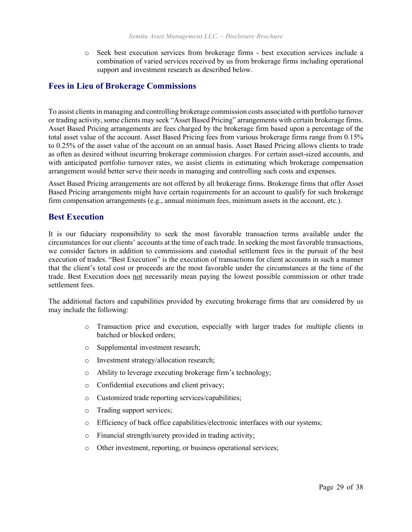o Seek best execution services from brokerage firms - best execution services include a combination of varied services received by us from brokerage firms including operational support and investment research as described below.

#### **Fees in Lieu of Brokerage Commissions**

To assist clients in managing and controlling brokerage commission costs associated with portfolio turnover or trading activity, some clients may seek "Asset Based Pricing" arrangements with certain brokerage firms. Asset Based Pricing arrangements are fees charged by the brokerage firm based upon a percentage of the total asset value of the account. Asset Based Pricing fees from various brokerage firms range from 0.15% to 0.25% of the asset value of the account on an annual basis. Asset Based Pricing allows clients to trade as often as desired without incurring brokerage commission charges. For certain asset-sized accounts, and with anticipated portfolio turnover rates, we assist clients in estimating which brokerage compensation arrangement would better serve their needs in managing and controlling such costs and expenses.

Asset Based Pricing arrangements are not offered by all brokerage firms. Brokerage firms that offer Asset Based Pricing arrangements might have certain requirements for an account to qualify for such brokerage firm compensation arrangements (e.g., annual minimum fees, minimum assets in the account, etc.).

#### **Best Execution**

It is our fiduciary responsibility to seek the most favorable transaction terms available under the circumstances for our clients' accounts at the time of each trade. In seeking the most favorable transactions, we consider factors in addition to commissions and custodial settlement fees in the pursuit of the best execution of trades. "Best Execution" is the execution of transactions for client accounts in such a manner that the client's total cost or proceeds are the most favorable under the circumstances at the time of the trade. Best Execution does not necessarily mean paying the lowest possible commission or other trade settlement fees.

The additional factors and capabilities provided by executing brokerage firms that are considered by us may include the following:

- o Transaction price and execution, especially with larger trades for multiple clients in batched or blocked orders;
- o Supplemental investment research;
- o Investment strategy/allocation research;
- o Ability to leverage executing brokerage firm's technology;
- o Confidential executions and client privacy;
- o Customized trade reporting services/capabilities;
- o Trading support services;
- o Efficiency of back office capabilities/electronic interfaces with our systems;
- o Financial strength/surety provided in trading activity;
- o Other investment, reporting, or business operational services;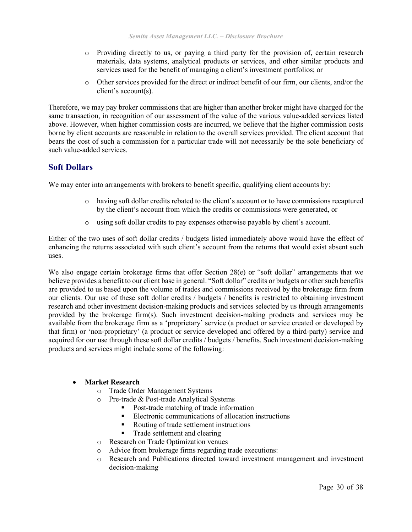- o Providing directly to us, or paying a third party for the provision of, certain research materials, data systems, analytical products or services, and other similar products and services used for the benefit of managing a client's investment portfolios; or
- o Other services provided for the direct or indirect benefit of our firm, our clients, and/or the client's account(s).

Therefore, we may pay broker commissions that are higher than another broker might have charged for the same transaction, in recognition of our assessment of the value of the various value-added services listed above. However, when higher commission costs are incurred, we believe that the higher commission costs borne by client accounts are reasonable in relation to the overall services provided. The client account that bears the cost of such a commission for a particular trade will not necessarily be the sole beneficiary of such value-added services.

#### **Soft Dollars**

We may enter into arrangements with brokers to benefit specific, qualifying client accounts by:

- o having soft dollar credits rebated to the client's account or to have commissions recaptured by the client's account from which the credits or commissions were generated, or
- o using soft dollar credits to pay expenses otherwise payable by client's account.

Either of the two uses of soft dollar credits / budgets listed immediately above would have the effect of enhancing the returns associated with such client's account from the returns that would exist absent such uses.

We also engage certain brokerage firms that offer Section 28(e) or "soft dollar" arrangements that we believe provides a benefit to our client base in general. "Soft dollar" credits or budgets or other such benefits are provided to us based upon the volume of trades and commissions received by the brokerage firm from our clients. Our use of these soft dollar credits / budgets / benefits is restricted to obtaining investment research and other investment decision-making products and services selected by us through arrangements provided by the brokerage firm(s). Such investment decision-making products and services may be available from the brokerage firm as a 'proprietary' service (a product or service created or developed by that firm) or 'non-proprietary' (a product or service developed and offered by a third-party) service and acquired for our use through these soft dollar credits / budgets / benefits. Such investment decision-making products and services might include some of the following:

#### • **Market Research**

- O Trade Order Management Systems<br>
O Pre-trade & Post-trade Analytical S
- Pre-trade & Post-trade Analytical Systems
	- Post-trade matching of trade information
	- Electronic communications of allocation instructions
	- Routing of trade settlement instructions
	- Trade settlement and clearing
- o Research on Trade Optimization venues
- o Advice from brokerage firms regarding trade executions:
- o Research and Publications directed toward investment management and investment decision-making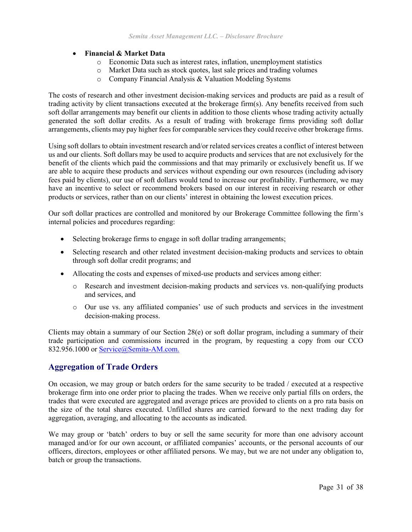#### • **Financial & Market Data**

- o Economic Data such as interest rates, inflation, unemployment statistics
- o Market Data such as stock quotes, last sale prices and trading volumes
- o Company Financial Analysis & Valuation Modeling Systems

The costs of research and other investment decision-making services and products are paid as a result of trading activity by client transactions executed at the brokerage firm(s). Any benefits received from such soft dollar arrangements may benefit our clients in addition to those clients whose trading activity actually generated the soft dollar credits. As a result of trading with brokerage firms providing soft dollar arrangements, clients may pay higher fees for comparable services they could receive other brokerage firms.

Using soft dollars to obtain investment research and/or related services creates a conflict of interest between us and our clients. Soft dollars may be used to acquire products and services that are not exclusively for the benefit of the clients which paid the commissions and that may primarily or exclusively benefit us. If we are able to acquire these products and services without expending our own resources (including advisory fees paid by clients), our use of soft dollars would tend to increase our profitability. Furthermore, we may have an incentive to select or recommend brokers based on our interest in receiving research or other products or services, rather than on our clients' interest in obtaining the lowest execution prices.

Our soft dollar practices are controlled and monitored by our Brokerage Committee following the firm's internal policies and procedures regarding:

- Selecting brokerage firms to engage in soft dollar trading arrangements;
- Selecting research and other related investment decision-making products and services to obtain through soft dollar credit programs; and
- Allocating the costs and expenses of mixed-use products and services among either:
	- o Research and investment decision-making products and services vs. non-qualifying products and services, and
	- o Our use vs. any affiliated companies' use of such products and services in the investment decision-making process.

Clients may obtain a summary of our Section 28(e) or soft dollar program, including a summary of their trade participation and commissions incurred in the program, by requesting a copy from our CCO 832.956.1000 or Service@Semita-AM.com.

#### **Aggregation of Trade Orders**

On occasion, we may group or batch orders for the same security to be traded / executed at a respective brokerage firm into one order prior to placing the trades. When we receive only partial fills on orders, the trades that were executed are aggregated and average prices are provided to clients on a pro rata basis on the size of the total shares executed. Unfilled shares are carried forward to the next trading day for aggregation, averaging, and allocating to the accounts as indicated.

We may group or 'batch' orders to buy or sell the same security for more than one advisory account managed and/or for our own account, or affiliated companies' accounts, or the personal accounts of our officers, directors, employees or other affiliated persons. We may, but we are not under any obligation to, batch or group the transactions.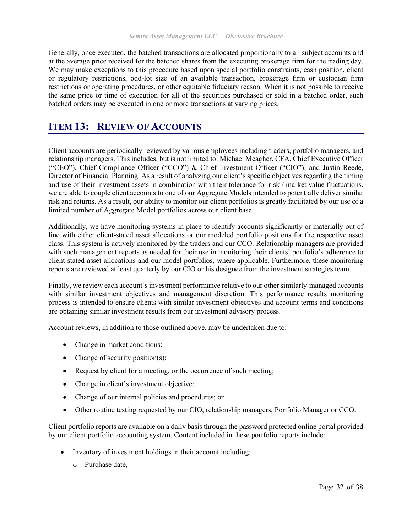Generally, once executed, the batched transactions are allocated proportionally to all subject accounts and at the average price received for the batched shares from the executing brokerage firm for the trading day. We may make exceptions to this procedure based upon special portfolio constraints, cash position, client or regulatory restrictions, odd-lot size of an available transaction, brokerage firm or custodian firm restrictions or operating procedures, or other equitable fiduciary reason. When it is not possible to receive the same price or time of execution for all of the securities purchased or sold in a batched order, such batched orders may be executed in one or more transactions at varying prices.

# <span id="page-31-0"></span>**ITEM 13: REVIEW OF ACCOUNTS**

Client accounts are periodically reviewed by various employees including traders, portfolio managers, and relationship managers. This includes, but is not limited to: Michael Meagher, CFA, Chief Executive Officer ("CEO"), Chief Compliance Officer ("CCO") & Chief Investment Officer ("CIO"); and Justin Reede, Director of Financial Planning. As a result of analyzing our client's specific objectives regarding the timing and use of their investment assets in combination with their tolerance for risk / market value fluctuations, we are able to couple client accounts to one of our Aggregate Models intended to potentially deliver similar risk and returns. As a result, our ability to monitor our client portfolios is greatly facilitated by our use of a limited number of Aggregate Model portfolios across our client base.

Additionally, we have monitoring systems in place to identify accounts significantly or materially out of line with either client-stated asset allocations or our modeled portfolio positions for the respective asset class. This system is actively monitored by the traders and our CCO. Relationship managers are provided with such management reports as needed for their use in monitoring their clients' portfolio's adherence to client-stated asset allocations and our model portfolios, where applicable. Furthermore, these monitoring reports are reviewed at least quarterly by our CIO or his designee from the investment strategies team.

Finally, we review each account's investment performance relative to our other similarly-managed accounts with similar investment objectives and management discretion. This performance results monitoring process is intended to ensure clients with similar investment objectives and account terms and conditions are obtaining similar investment results from our investment advisory process.

Account reviews, in addition to those outlined above, may be undertaken due to:

- Change in market conditions;
- Change of security position(s);
- Request by client for a meeting, or the occurrence of such meeting;
- Change in client's investment objective;
- Change of our internal policies and procedures; or
- Other routine testing requested by our CIO, relationship managers, Portfolio Manager or CCO.

Client portfolio reports are available on a daily basis through the password protected online portal provided by our client portfolio accounting system. Content included in these portfolio reports include:

- Inventory of investment holdings in their account including:
	- o Purchase date,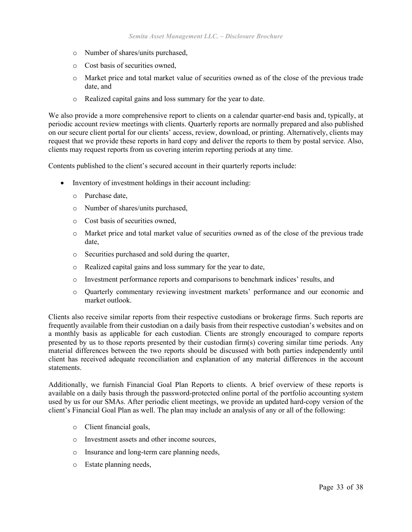- o Number of shares/units purchased,
- o Cost basis of securities owned,
- o Market price and total market value of securities owned as of the close of the previous trade date, and
- o Realized capital gains and loss summary for the year to date.

We also provide a more comprehensive report to clients on a calendar quarter-end basis and, typically, at periodic account review meetings with clients. Quarterly reports are normally prepared and also published on our secure client portal for our clients' access, review, download, or printing. Alternatively, clients may request that we provide these reports in hard copy and deliver the reports to them by postal service. Also, clients may request reports from us covering interim reporting periods at any time.

Contents published to the client's secured account in their quarterly reports include:

- Inventory of investment holdings in their account including:
	- o Purchase date,
	- o Number of shares/units purchased,
	- o Cost basis of securities owned,
	- o Market price and total market value of securities owned as of the close of the previous trade date,
	- o Securities purchased and sold during the quarter,
	- o Realized capital gains and loss summary for the year to date,
	- o Investment performance reports and comparisons to benchmark indices' results, and
	- o Quarterly commentary reviewing investment markets' performance and our economic and market outlook.

Clients also receive similar reports from their respective custodians or brokerage firms. Such reports are frequently available from their custodian on a daily basis from their respective custodian's websites and on a monthly basis as applicable for each custodian. Clients are strongly encouraged to compare reports presented by us to those reports presented by their custodian firm(s) covering similar time periods. Any material differences between the two reports should be discussed with both parties independently until client has received adequate reconciliation and explanation of any material differences in the account statements.

Additionally, we furnish Financial Goal Plan Reports to clients. A brief overview of these reports is available on a daily basis through the password-protected online portal of the portfolio accounting system used by us for our SMAs. After periodic client meetings, we provide an updated hard-copy version of the client's Financial Goal Plan as well. The plan may include an analysis of any or all of the following:

- o Client financial goals,
- o Investment assets and other income sources,
- o Insurance and long-term care planning needs,
- o Estate planning needs,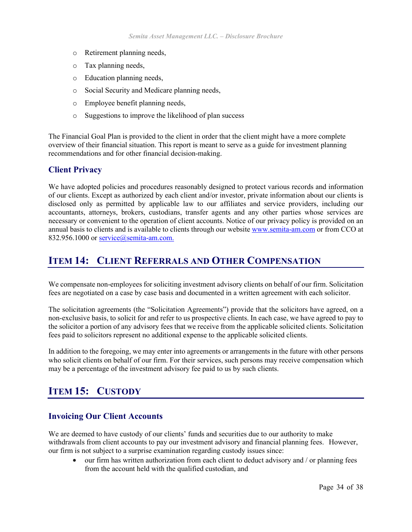- o Retirement planning needs,
- o Tax planning needs,
- o Education planning needs,
- o Social Security and Medicare planning needs,
- o Employee benefit planning needs,
- o Suggestions to improve the likelihood of plan success

The Financial Goal Plan is provided to the client in order that the client might have a more complete overview of their financial situation. This report is meant to serve as a guide for investment planning recommendations and for other financial decision-making.

#### **Client Privacy**

We have adopted policies and procedures reasonably designed to protect various records and information of our clients. Except as authorized by each client and/or investor, private information about our clients is disclosed only as permitted by applicable law to our affiliates and service providers, including our accountants, attorneys, brokers, custodians, transfer agents and any other parties whose services are necessary or convenient to the operation of client accounts. Notice of our privacy policy is provided on an annual basis to clients and is available to clients through our website [www.semita-am.com](http://www.semita-am.com/) or from CCO at 832.956.1000 or service@semita-am.com.

# <span id="page-33-0"></span>**ITEM 14: CLIENT REFERRALS AND OTHER COMPENSATION**

We compensate non-employees for soliciting investment advisory clients on behalf of our firm. Solicitation fees are negotiated on a case by case basis and documented in a written agreement with each solicitor.

The solicitation agreements (the "Solicitation Agreements") provide that the solicitors have agreed, on a non-exclusive basis, to solicit for and refer to us prospective clients. In each case, we have agreed to pay to the solicitor a portion of any advisory fees that we receive from the applicable solicited clients. Solicitation fees paid to solicitors represent no additional expense to the applicable solicited clients.

In addition to the foregoing, we may enter into agreements or arrangements in the future with other persons who solicit clients on behalf of our firm. For their services, such persons may receive compensation which may be a percentage of the investment advisory fee paid to us by such clients.

# <span id="page-33-1"></span>**ITEM 15: CUSTODY**

#### **Invoicing Our Client Accounts**

We are deemed to have custody of our clients' funds and securities due to our authority to make withdrawals from client accounts to pay our investment advisory and financial planning fees. However, our firm is not subject to a surprise examination regarding custody issues since:

• our firm has written authorization from each client to deduct advisory and / or planning fees from the account held with the qualified custodian, and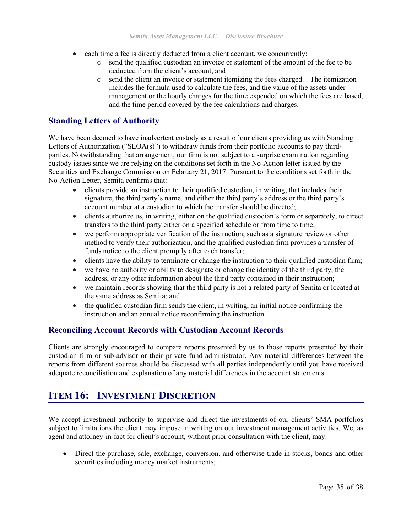- each time a fee is directly deducted from a client account, we concurrently:
	- o send the qualified custodian an invoice or statement of the amount of the fee to be deducted from the client's account, and
	- $\circ$  send the client an invoice or statement itemizing the fees charged. The itemization includes the formula used to calculate the fees, and the value of the assets under management or the hourly charges for the time expended on which the fees are based, and the time period covered by the fee calculations and charges.

#### **Standing Letters of Authority**

We have been deemed to have inadvertent custody as a result of our clients providing us with Standing Letters of Authorization (" $SLOA(s)$ ") to withdraw funds from their portfolio accounts to pay thirdparties. Notwithstanding that arrangement, our firm is not subject to a surprise examination regarding custody issues since we are relying on the conditions set forth in the No-Action letter issued by the Securities and Exchange Commission on February 21, 2017. Pursuant to the conditions set forth in the No-Action Letter, Semita confirms that:

- clients provide an instruction to their qualified custodian, in writing, that includes their signature, the third party's name, and either the third party's address or the third party's account number at a custodian to which the transfer should be directed;
- clients authorize us, in writing, either on the qualified custodian's form or separately, to direct transfers to the third party either on a specified schedule or from time to time;
- we perform appropriate verification of the instruction, such as a signature review or other method to verify their authorization, and the qualified custodian firm provides a transfer of funds notice to the client promptly after each transfer;
- clients have the ability to terminate or change the instruction to their qualified custodian firm;
- we have no authority or ability to designate or change the identity of the third party, the address, or any other information about the third party contained in their instruction;
- we maintain records showing that the third party is not a related party of Semita or located at the same address as Semita; and
- the qualified custodian firm sends the client, in writing, an initial notice confirming the instruction and an annual notice reconfirming the instruction.

#### **Reconciling Account Records with Custodian Account Records**

Clients are strongly encouraged to compare reports presented by us to those reports presented by their custodian firm or sub-advisor or their private fund administrator. Any material differences between the reports from different sources should be discussed with all parties independently until you have received adequate reconciliation and explanation of any material differences in the account statements.

# <span id="page-34-0"></span>**ITEM 16: INVESTMENT DISCRETION**

We accept investment authority to supervise and direct the investments of our clients' SMA portfolios subject to limitations the client may impose in writing on our investment management activities. We, as agent and attorney-in-fact for client's account, without prior consultation with the client, may:

• Direct the purchase, sale, exchange, conversion, and otherwise trade in stocks, bonds and other securities including money market instruments;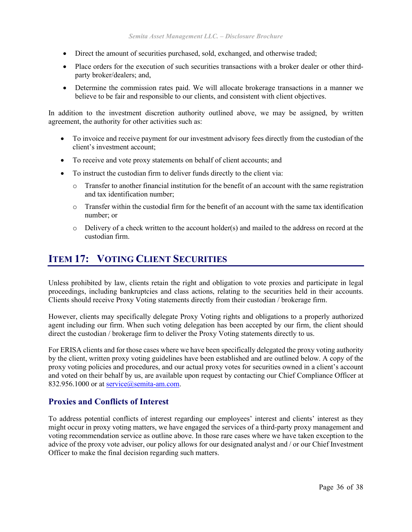- Direct the amount of securities purchased, sold, exchanged, and otherwise traded;
- Place orders for the execution of such securities transactions with a broker dealer or other thirdparty broker/dealers; and,
- Determine the commission rates paid. We will allocate brokerage transactions in a manner we believe to be fair and responsible to our clients, and consistent with client objectives.

In addition to the investment discretion authority outlined above, we may be assigned, by written agreement, the authority for other activities such as:

- To invoice and receive payment for our investment advisory fees directly from the custodian of the client's investment account;
- To receive and vote proxy statements on behalf of client accounts; and
- To instruct the custodian firm to deliver funds directly to the client via:
	- o Transfer to another financial institution for the benefit of an account with the same registration and tax identification number;
	- o Transfer within the custodial firm for the benefit of an account with the same tax identification number; or
	- o Delivery of a check written to the account holder(s) and mailed to the address on record at the custodian firm.

# <span id="page-35-0"></span>**ITEM 17: VOTING CLIENT SECURITIES**

Unless prohibited by law, clients retain the right and obligation to vote proxies and participate in legal proceedings, including bankruptcies and class actions, relating to the securities held in their accounts. Clients should receive Proxy Voting statements directly from their custodian / brokerage firm.

However, clients may specifically delegate Proxy Voting rights and obligations to a properly authorized agent including our firm. When such voting delegation has been accepted by our firm, the client should direct the custodian / brokerage firm to deliver the Proxy Voting statements directly to us.

For ERISA clients and for those cases where we have been specifically delegated the proxy voting authority by the client, written proxy voting guidelines have been established and are outlined below. A copy of the proxy voting policies and procedures, and our actual proxy votes for securities owned in a client's account and voted on their behalf by us, are available upon request by contacting our Chief Compliance Officer at 832.956.1000 or at service@semita-am.com.

#### **Proxies and Conflicts of Interest**

To address potential conflicts of interest regarding our employees' interest and clients' interest as they might occur in proxy voting matters, we have engaged the services of a third-party proxy management and voting recommendation service as outline above. In those rare cases where we have taken exception to the advice of the proxy vote adviser, our policy allows for our designated analyst and / or our Chief Investment Officer to make the final decision regarding such matters.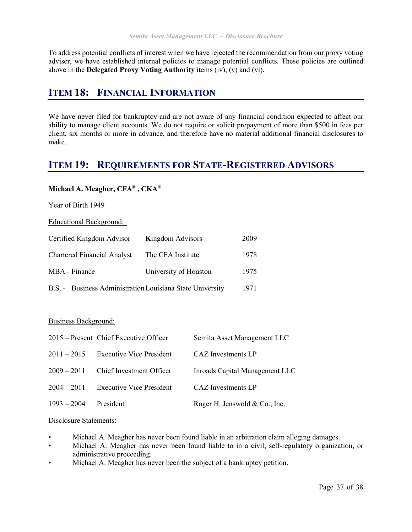To address potential conflicts of interest when we have rejected the recommendation from our proxy voting adviser, we have established internal policies to manage potential conflicts. These policies are outlined above in the **Delegated Proxy Voting Authority** items (iv), (v) and (vi).

# <span id="page-36-0"></span>**ITEM 18: FINANCIAL INFORMATION**

We have never filed for bankruptcy and are not aware of any financial condition expected to affect our ability to manage client accounts. We do not require or solicit prepayment of more than \$500 in fees per client, six months or more in advance, and therefore have no material additional financial disclosures to make.

# <span id="page-36-1"></span>**ITEM 19: REQUIREMENTS FOR STATE-REGISTERED ADVISORS**

#### **Michael A. Meagher, CFA® , CKA®**

Year of Birth 1949

Educational Background:

| Certified Kingdom Advisor                                 | <b>Kingdom Advisors</b> | 2009 |
|-----------------------------------------------------------|-------------------------|------|
| <b>Chartered Financial Analyst</b>                        | The CFA Institute       | 1978 |
| MBA - Finance                                             | University of Houston   | 1975 |
| B.S. - Business Administration Louisiana State University |                         | 1971 |

#### Business Background:

|               | 2015 – Present Chief Executive Officer | Semita Asset Management LLC    |
|---------------|----------------------------------------|--------------------------------|
| $2011 - 2015$ | <b>Executive Vice President</b>        | CAZ Investments LP             |
| $2009 - 2011$ | Chief Investment Officer               | Inroads Capital Management LLC |
| $2004 - 2011$ | <b>Executive Vice President</b>        | CAZ Investments LP             |
| $1993 - 2004$ | President                              | Roger H. Jenswold & Co., Inc.  |

#### Disclosure Statements:

- Michael A. Meagher has never been found liable in an arbitration claim alleging damages.
- Michael A. Meagher has never been found liable to in a civil, self-regulatory organization, or administrative proceeding.
- Michael A. Meagher has never been the subject of a bankruptcy petition.